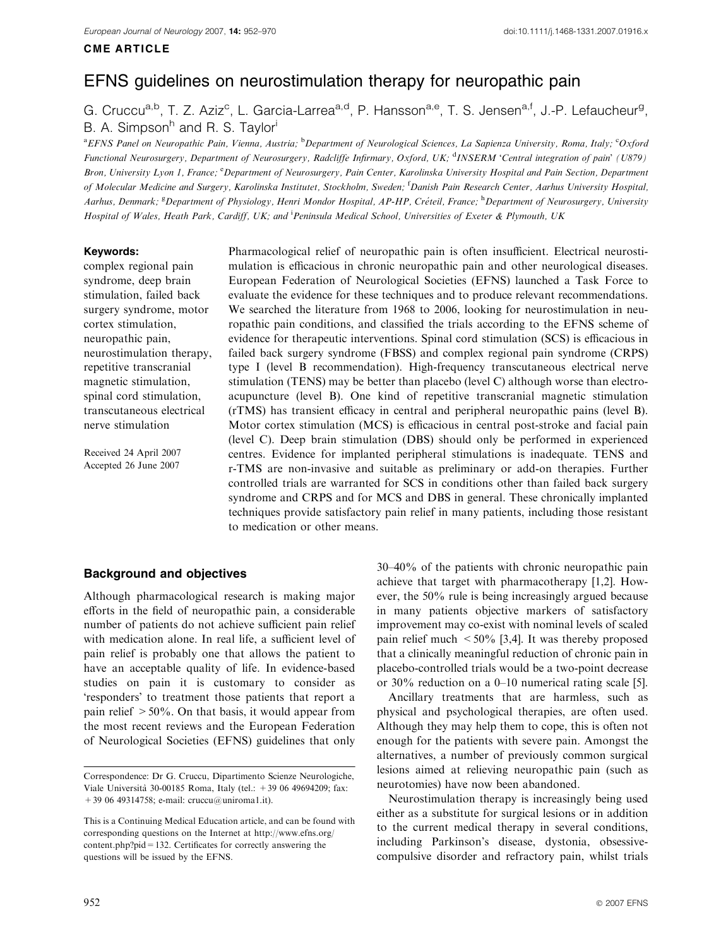## CME ARTICLE

# EFNS guidelines on neurostimulation therapy for neuropathic pain

G. Cruccu<sup>a,b</sup>, T. Z. Aziz<sup>c</sup>, L. Garcia-Larrea<sup>a,d</sup>, P. Hansson<sup>a,e</sup>, T. S. Jensen<sup>a,f</sup>, J.-P. Lefaucheur<sup>g</sup>, B. A. Simpson<sup>h</sup> and R. S. Taylor<sup>i</sup>

<sup>a</sup> EFNS Panel on Neuropathic Pain, Vienna, Austria; <sup>b</sup>Department of Neurological Sciences, La Sapienza University, Roma, Italy; <sup>c</sup>Oxfora Functional Neurosurgery, Department of Neurosurgery, Radcliffe Infirmary, Oxford, UK; <sup>d</sup>INSERM 'Central integration of pain' (U879) Bron, University Lyon 1, France; <sup>e</sup>Department of Neurosurgery, Pain Center, Karolinska University Hospital and Pain Section, Department of Molecular Medicine and Surgery, Karolinska Institutet, Stockholm, Sweden; <sup>f</sup>Danish Pain Research Center, Aarhus University Hospital, Aarhus, Denmark; <sup>g</sup>Department of Physiology, Henri Mondor Hospital, AP-HP, Créteil, France; <sup>h</sup>Department of Neurosurgery, University Hospital of Wales, Heath Park, Cardiff, UK; and <sup>i</sup>Peninsula Medical School, Universities of Exeter & Plymouth, UK

#### Keywords:

complex regional pain syndrome, deep brain stimulation, failed back surgery syndrome, motor cortex stimulation, neuropathic pain, neurostimulation therapy, repetitive transcranial magnetic stimulation, spinal cord stimulation, transcutaneous electrical nerve stimulation

Received 24 April 2007 Accepted 26 June 2007

Pharmacological relief of neuropathic pain is often insufficient. Electrical neurostimulation is efficacious in chronic neuropathic pain and other neurological diseases. European Federation of Neurological Societies (EFNS) launched a Task Force to evaluate the evidence for these techniques and to produce relevant recommendations. We searched the literature from 1968 to 2006, looking for neurostimulation in neuropathic pain conditions, and classified the trials according to the EFNS scheme of evidence for therapeutic interventions. Spinal cord stimulation (SCS) is efficacious in failed back surgery syndrome (FBSS) and complex regional pain syndrome (CRPS) type I (level B recommendation). High-frequency transcutaneous electrical nerve stimulation (TENS) may be better than placebo (level C) although worse than electroacupuncture (level B). One kind of repetitive transcranial magnetic stimulation (rTMS) has transient efficacy in central and peripheral neuropathic pains (level B). Motor cortex stimulation (MCS) is efficacious in central post-stroke and facial pain (level C). Deep brain stimulation (DBS) should only be performed in experienced centres. Evidence for implanted peripheral stimulations is inadequate. TENS and r-TMS are non-invasive and suitable as preliminary or add-on therapies. Further controlled trials are warranted for SCS in conditions other than failed back surgery syndrome and CRPS and for MCS and DBS in general. These chronically implanted techniques provide satisfactory pain relief in many patients, including those resistant to medication or other means.

## Background and objectives

Although pharmacological research is making major efforts in the field of neuropathic pain, a considerable number of patients do not achieve sufficient pain relief with medication alone. In real life, a sufficient level of pain relief is probably one that allows the patient to have an acceptable quality of life. In evidence-based studies on pain it is customary to consider as 'responders' to treatment those patients that report a pain relief  $>50\%$ . On that basis, it would appear from the most recent reviews and the European Federation of Neurological Societies (EFNS) guidelines that only

30–40% of the patients with chronic neuropathic pain achieve that target with pharmacotherapy [1,2]. However, the 50% rule is being increasingly argued because in many patients objective markers of satisfactory improvement may co-exist with nominal levels of scaled pain relief much  $\leq 50\%$  [3,4]. It was thereby proposed that a clinically meaningful reduction of chronic pain in placebo-controlled trials would be a two-point decrease or 30% reduction on a 0–10 numerical rating scale [5].

Ancillary treatments that are harmless, such as physical and psychological therapies, are often used. Although they may help them to cope, this is often not enough for the patients with severe pain. Amongst the alternatives, a number of previously common surgical lesions aimed at relieving neuropathic pain (such as neurotomies) have now been abandoned.

Neurostimulation therapy is increasingly being used either as a substitute for surgical lesions or in addition to the current medical therapy in several conditions, including Parkinson's disease, dystonia, obsessivecompulsive disorder and refractory pain, whilst trials

Correspondence: Dr G. Cruccu, Dipartimento Scienze Neurologiche, Viale Universita` 30-00185 Roma, Italy (tel.: +39 06 49694209; fax: +39 06 49314758; e-mail: cruccu@uniroma1.it).

This is a Continuing Medical Education article, and can be found with corresponding questions on the Internet at http://www.efns.org/ content.php?pid=132. Certificates for correctly answering the questions will be issued by the EFNS.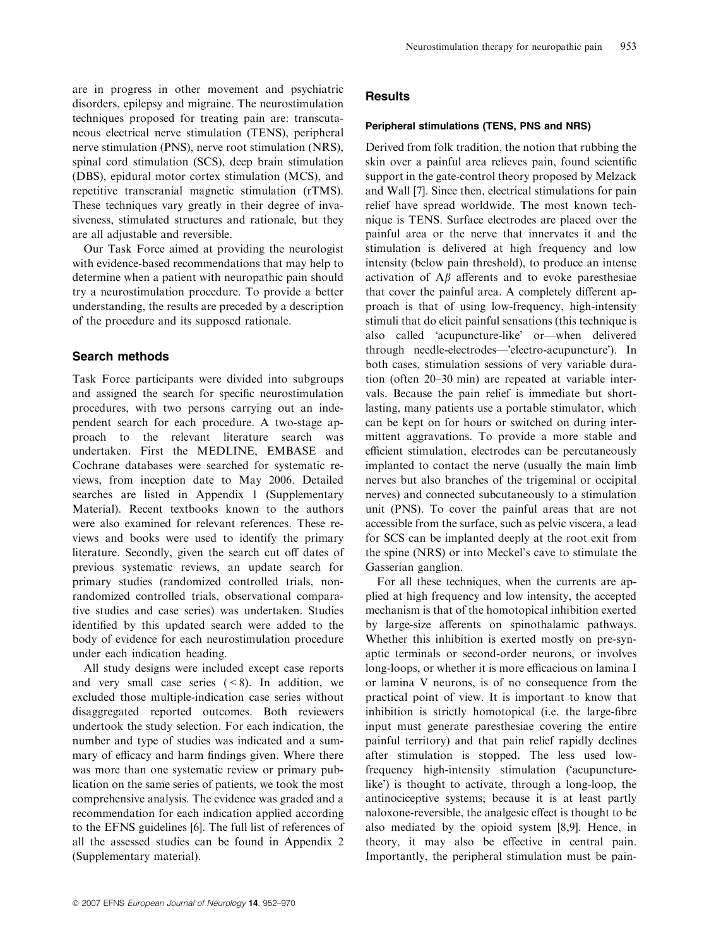are in progress in other movement and psychiatric disorders, epilepsy and migraine. The neurostimulation techniques proposed for treating pain are: transcutaneous electrical nerve stimulation (TENS), peripheral nerve stimulation (PNS), nerve root stimulation (NRS), spinal cord stimulation (SCS), deep brain stimulation (DBS), epidural motor cortex stimulation (MCS), and repetitive transcranial magnetic stimulation (rTMS). These techniques vary greatly in their degree of invasiveness, stimulated structures and rationale, but they are all adjustable and reversible.

Our Task Force aimed at providing the neurologist with evidence-based recommendations that may help to determine when a patient with neuropathic pain should try a neurostimulation procedure. To provide a better understanding, the results are preceded by a description of the procedure and its supposed rationale.

## Search methods

Task Force participants were divided into subgroups and assigned the search for specific neurostimulation procedures, with two persons carrying out an independent search for each procedure. A two-stage approach to the relevant literature search was undertaken. First the MEDLINE, EMBASE and Cochrane databases were searched for systematic reviews, from inception date to May 2006. Detailed searches are listed in Appendix 1 (Supplementary Material). Recent textbooks known to the authors were also examined for relevant references. These reviews and books were used to identify the primary literature. Secondly, given the search cut off dates of previous systematic reviews, an update search for primary studies (randomized controlled trials, nonrandomized controlled trials, observational comparative studies and case series) was undertaken. Studies identified by this updated search were added to the body of evidence for each neurostimulation procedure under each indication heading.

All study designs were included except case reports and very small case series  $(< 8$ ). In addition, we excluded those multiple-indication case series without disaggregated reported outcomes. Both reviewers undertook the study selection. For each indication, the number and type of studies was indicated and a summary of efficacy and harm findings given. Where there was more than one systematic review or primary publication on the same series of patients, we took the most comprehensive analysis. The evidence was graded and a recommendation for each indication applied according to the EFNS guidelines [6]. The full list of references of all the assessed studies can be found in Appendix 2 (Supplementary material).

# **Results**

#### Peripheral stimulations (TENS, PNS and NRS)

Derived from folk tradition, the notion that rubbing the skin over a painful area relieves pain, found scientific support in the gate-control theory proposed by Melzack and Wall [7]. Since then, electrical stimulations for pain relief have spread worldwide. The most known technique is TENS. Surface electrodes are placed over the painful area or the nerve that innervates it and the stimulation is delivered at high frequency and low intensity (below pain threshold), to produce an intense activation of  $A\beta$  afferents and to evoke paresthesiae that cover the painful area. A completely different approach is that of using low-frequency, high-intensity stimuli that do elicit painful sensations (this technique is also called 'acupuncture-like' or—when delivered through needle-electrodes—electro-acupuncture). In both cases, stimulation sessions of very variable duration (often 20–30 min) are repeated at variable intervals. Because the pain relief is immediate but shortlasting, many patients use a portable stimulator, which can be kept on for hours or switched on during intermittent aggravations. To provide a more stable and efficient stimulation, electrodes can be percutaneously implanted to contact the nerve (usually the main limb nerves but also branches of the trigeminal or occipital nerves) and connected subcutaneously to a stimulation unit (PNS). To cover the painful areas that are not accessible from the surface, such as pelvic viscera, a lead for SCS can be implanted deeply at the root exit from the spine (NRS) or into Meckel's cave to stimulate the Gasserian ganglion.

For all these techniques, when the currents are applied at high frequency and low intensity, the accepted mechanism is that of the homotopical inhibition exerted by large-size afferents on spinothalamic pathways. Whether this inhibition is exerted mostly on pre-synaptic terminals or second-order neurons, or involves long-loops, or whether it is more efficacious on lamina I or lamina V neurons, is of no consequence from the practical point of view. It is important to know that inhibition is strictly homotopical (i.e. the large-fibre input must generate paresthesiae covering the entire painful territory) and that pain relief rapidly declines after stimulation is stopped. The less used lowfrequency high-intensity stimulation ('acupuncturelike') is thought to activate, through a long-loop, the antinociceptive systems; because it is at least partly naloxone-reversible, the analgesic effect is thought to be also mediated by the opioid system [8,9]. Hence, in theory, it may also be effective in central pain. Importantly, the peripheral stimulation must be pain-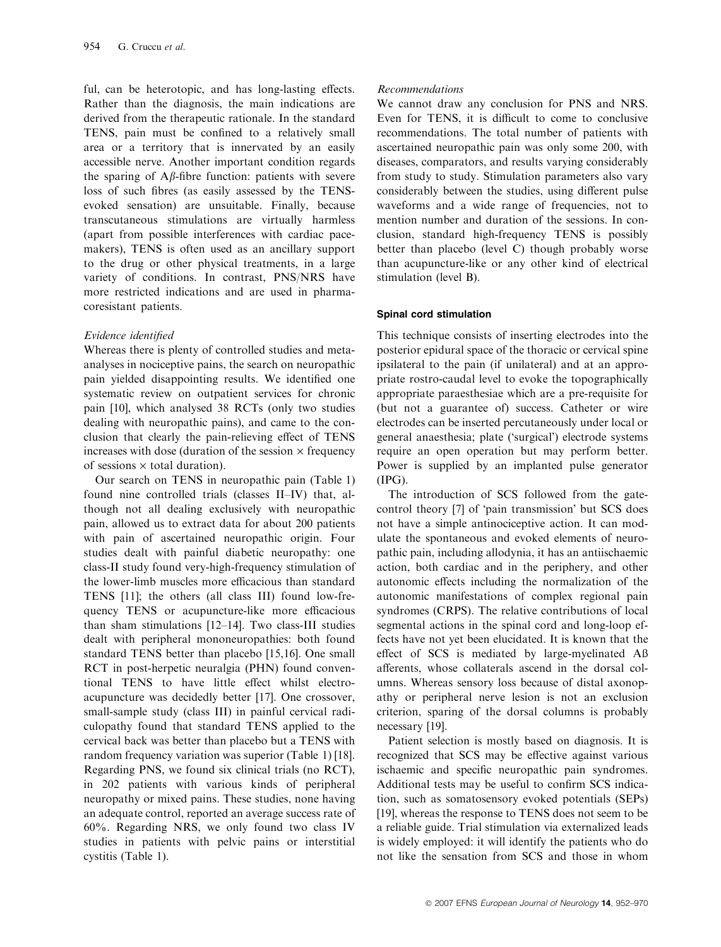ful, can be heterotopic, and has long-lasting effects. Rather than the diagnosis, the main indications are derived from the therapeutic rationale. In the standard TENS, pain must be confined to a relatively small area or a territory that is innervated by an easily accessible nerve. Another important condition regards the sparing of  $A\beta$ -fibre function: patients with severe loss of such fibres (as easily assessed by the TENSevoked sensation) are unsuitable. Finally, because transcutaneous stimulations are virtually harmless (apart from possible interferences with cardiac pacemakers), TENS is often used as an ancillary support to the drug or other physical treatments, in a large variety of conditions. In contrast, PNS/NRS have more restricted indications and are used in pharmacoresistant patients.

## Evidence identified

Whereas there is plenty of controlled studies and metaanalyses in nociceptive pains, the search on neuropathic pain yielded disappointing results. We identified one systematic review on outpatient services for chronic pain [10], which analysed 38 RCTs (only two studies dealing with neuropathic pains), and came to the conclusion that clearly the pain-relieving effect of TENS increases with dose (duration of the session  $\times$  frequency of sessions  $\times$  total duration).

Our search on TENS in neuropathic pain (Table 1) found nine controlled trials (classes II–IV) that, although not all dealing exclusively with neuropathic pain, allowed us to extract data for about 200 patients with pain of ascertained neuropathic origin. Four studies dealt with painful diabetic neuropathy: one class-II study found very-high-frequency stimulation of the lower-limb muscles more efficacious than standard TENS [11]; the others (all class III) found low-frequency TENS or acupuncture-like more efficacious than sham stimulations [12–14]. Two class-III studies dealt with peripheral mononeuropathies: both found standard TENS better than placebo [15,16]. One small RCT in post-herpetic neuralgia (PHN) found conventional TENS to have little effect whilst electroacupuncture was decidedly better [17]. One crossover, small-sample study (class III) in painful cervical radiculopathy found that standard TENS applied to the cervical back was better than placebo but a TENS with random frequency variation was superior (Table 1) [18]. Regarding PNS, we found six clinical trials (no RCT), in 202 patients with various kinds of peripheral neuropathy or mixed pains. These studies, none having an adequate control, reported an average success rate of 60%. Regarding NRS, we only found two class IV studies in patients with pelvic pains or interstitial cystitis (Table 1).

## Recommendations

We cannot draw any conclusion for PNS and NRS. Even for TENS, it is difficult to come to conclusive recommendations. The total number of patients with ascertained neuropathic pain was only some 200, with diseases, comparators, and results varying considerably from study to study. Stimulation parameters also vary considerably between the studies, using different pulse waveforms and a wide range of frequencies, not to mention number and duration of the sessions. In conclusion, standard high-frequency TENS is possibly better than placebo (level C) though probably worse than acupuncture-like or any other kind of electrical stimulation (level B).

## Spinal cord stimulation

This technique consists of inserting electrodes into the posterior epidural space of the thoracic or cervical spine ipsilateral to the pain (if unilateral) and at an appropriate rostro-caudal level to evoke the topographically appropriate paraesthesiae which are a pre-requisite for (but not a guarantee of) success. Catheter or wire electrodes can be inserted percutaneously under local or general anaesthesia; plate ('surgical') electrode systems require an open operation but may perform better. Power is supplied by an implanted pulse generator (IPG).

The introduction of SCS followed from the gatecontrol theory [7] of 'pain transmission' but SCS does not have a simple antinociceptive action. It can modulate the spontaneous and evoked elements of neuropathic pain, including allodynia, it has an antiischaemic action, both cardiac and in the periphery, and other autonomic effects including the normalization of the autonomic manifestations of complex regional pain syndromes (CRPS). The relative contributions of local segmental actions in the spinal cord and long-loop effects have not yet been elucidated. It is known that the effect of SCS is mediated by large-myelinated Aß afferents, whose collaterals ascend in the dorsal columns. Whereas sensory loss because of distal axonopathy or peripheral nerve lesion is not an exclusion criterion, sparing of the dorsal columns is probably necessary [19].

Patient selection is mostly based on diagnosis. It is recognized that SCS may be effective against various ischaemic and specific neuropathic pain syndromes. Additional tests may be useful to confirm SCS indication, such as somatosensory evoked potentials (SEPs) [19], whereas the response to TENS does not seem to be a reliable guide. Trial stimulation via externalized leads is widely employed: it will identify the patients who do not like the sensation from SCS and those in whom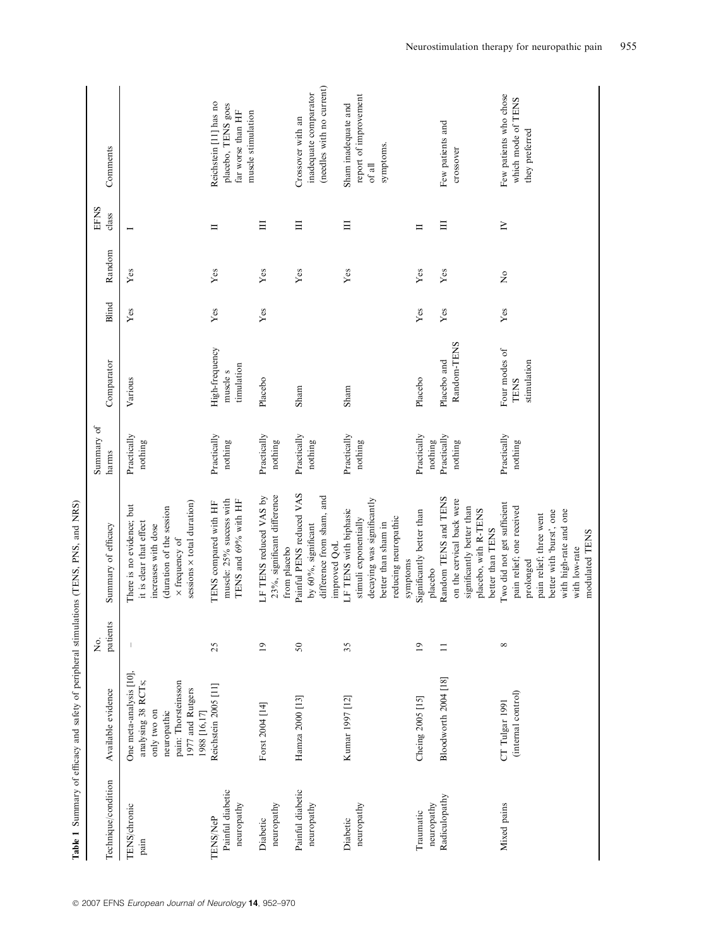|                                                   | The result of the same stress of the same sense is a sense of the same of the same of the same of the same of the same of the same of the same of the same of the same of the same of the same of the same of the same of the |                 | lations (112, 12, 12, 20)                                                                                                                                                                |                        |                                             |              |             |                      |                                                                                         |
|---------------------------------------------------|-------------------------------------------------------------------------------------------------------------------------------------------------------------------------------------------------------------------------------|-----------------|------------------------------------------------------------------------------------------------------------------------------------------------------------------------------------------|------------------------|---------------------------------------------|--------------|-------------|----------------------|-----------------------------------------------------------------------------------------|
| Technique/condition                               | Available evidence                                                                                                                                                                                                            | patients<br>Σó, | Summary of efficacy                                                                                                                                                                      | Summary of<br>harms    | Comparator                                  | <b>Blind</b> | Random      | <b>EFNS</b><br>class | Comments                                                                                |
| TENS/chronic<br>pain                              | One meta-analysis [10],<br>analysing 38 RCTs;<br>pain: Thorsteinsson<br>1977 and Rutgers<br>only two on<br>neuropathic<br>1988 [16,17]                                                                                        |                 | sessions $\times$ total duration)<br>There is no evidence; but<br>(duration of the session<br>it is clear that effect<br>increases with dose<br>x frequency of                           | Practically<br>nothing | Various                                     | Yes          | Yes         |                      |                                                                                         |
| Painful diabetic<br>neuropathy<br><b>TENS/NeP</b> | Reichstein 2005 [11]                                                                                                                                                                                                          | 25              | muscle: 25% success with<br>TENS and 69% with HF<br>TENS compared with HF                                                                                                                | Practically<br>nothing | High-frequency<br>timulation<br>muscle s    | Yes          | Yes         | $\equiv$             | Reichstein [11] has no<br>placebo, TENS goes<br>far worse than HF<br>muscle stimulation |
| neuropathy<br>Diabetic                            | Forst 2004 [14]                                                                                                                                                                                                               | $\overline{1}$  | 23%, significant difference<br>LF TENS reduced VAS by<br>from placebo                                                                                                                    | Practically<br>nothing | Placebo                                     | Yes          | Yes         | $\Xi$                |                                                                                         |
| Painful diabetic<br>neuropathy                    | Hamza 2000 [13]                                                                                                                                                                                                               | $\mathcal{S}$   | Painful PENS reduced VAS<br>difference from sham, and<br>by 60%, significant<br>improved QoL                                                                                             | Practically<br>nothing | Sham                                        |              | Yes         | $\equiv$             | (needles with no current)<br>inadequate comparator<br>Crossover with an                 |
| neuropathy<br>Diabetic                            | Kumar 1997 [12]                                                                                                                                                                                                               | 35              | decaying was significantly<br>LF TENS with biphasic<br>reducing neuropathic<br>stimuli exponentially<br>better than sham in<br>symptoms                                                  | Practically<br>nothing | Sham                                        |              | Yes         | $\equiv$             | report of improvement<br>Sham inadequate and<br>symptoms.<br>of all                     |
| neuropathy<br>Traumatic                           | Cheing 2005 [15]                                                                                                                                                                                                              | $\overline{1}$  | Significantly better than<br>placebo                                                                                                                                                     | Practically<br>nothing | Placebo                                     | Yes          | Yes         | $\equiv$             |                                                                                         |
| Radiculopathy                                     | Bloodworth 2004 [18]                                                                                                                                                                                                          | $\equiv$        | Random TENS and TENS<br>on the cervical back were<br>significantly better than<br>placebo, with R-TENS<br>better than TENS                                                               | Practically<br>nothing | Random-TENS<br>Placebo and                  | Yes          | Yes         | 日                    | Few patients and<br>crossover                                                           |
| Mixed pains                                       | (internal control)<br>CT Tulgar 1991                                                                                                                                                                                          | $^{\circ}$      | Two did not get sufficient<br>pain relief; one received<br>better with 'burst', one<br>with high-rate and one<br>pain relief; three went<br>modulated TENS<br>with low-rate<br>prolonged | Practically<br>nothing | Four modes of<br>stimulation<br><b>TENS</b> | Yes          | $\tilde{z}$ | $\geq$               | Few patients who chose<br>which mode of TENS<br>they preferred                          |

Table 1 Summary of efficacy and safety of peripheral stimulations (TENS, PNS, and NRS) Table 1 Summary of efficacy and safety of peripheral stimulations (TENS, PNS, and NRS)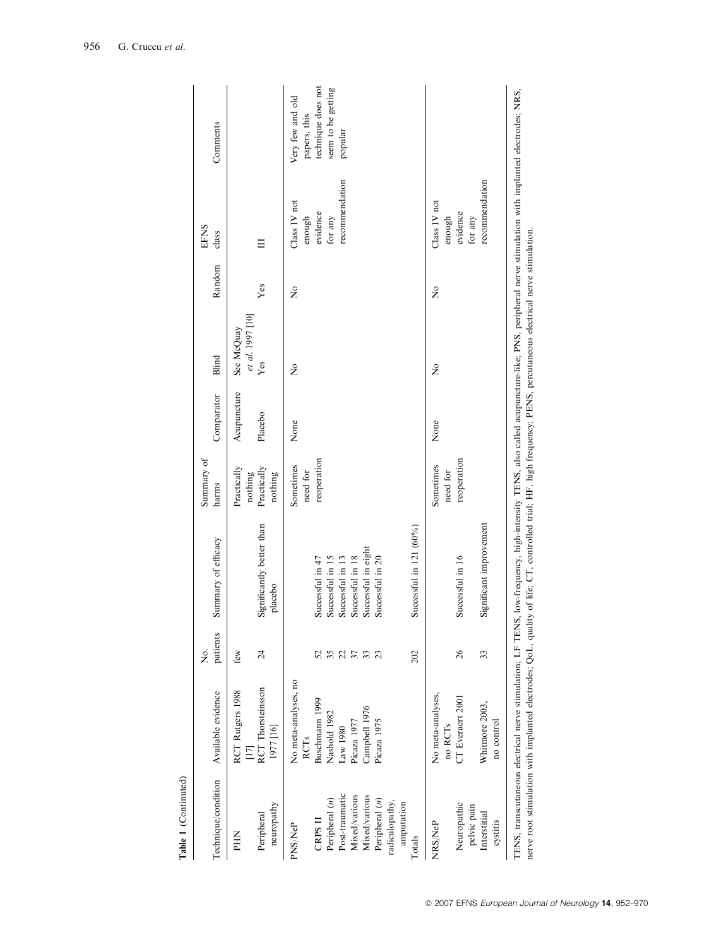| Table 1 (Continuted)            |                                                            |                          |                                                                                                                                                                                                                         |                                                  |                        |                                       |               |                        |                                    |
|---------------------------------|------------------------------------------------------------|--------------------------|-------------------------------------------------------------------------------------------------------------------------------------------------------------------------------------------------------------------------|--------------------------------------------------|------------------------|---------------------------------------|---------------|------------------------|------------------------------------|
| Technique/condition             | Available evidence                                         | patients<br>Ż.           | Summary of efficacy                                                                                                                                                                                                     | Summary of<br>harms                              | Comparator             | Blind                                 | Random        | <b>EFNS</b><br>class   | Comments                           |
| neuropathy<br>Peripheral<br>PHN | RCT Thorsteinsson<br>RCT Rutgers 1988<br>1977 [16]<br>[17] | $\overline{24}$<br>few   | Significantly better than<br>placebo                                                                                                                                                                                    | Practically<br>Practically<br>nothing<br>nothing | Acupuncture<br>Placebo | et al. 1997 [10]<br>See McQuay<br>Yes | Yes           | $\Xi$                  |                                    |
| PNS/NeP                         | No meta-analyses, no<br>RCTs                               |                          |                                                                                                                                                                                                                         | Sometimes<br>need for                            | None                   | $\frac{1}{2}$                         | $\frac{1}{2}$ | Class IV not           | Very few and old                   |
| CRPS II                         | Buschmann 1999                                             |                          | Successful in 47                                                                                                                                                                                                        | reoperation                                      |                        |                                       |               | evidence<br>enough     | technique does not<br>papers, this |
| Peripheral (n)                  | Nashold 1982                                               | 35                       | Successful in 15                                                                                                                                                                                                        |                                                  |                        |                                       |               | for any                | seem to be getting                 |
| Post-traumatic                  | Law 1980                                                   | 22                       | Successful in 13                                                                                                                                                                                                        |                                                  |                        |                                       |               | recommendation         | popular                            |
| Mixed/various                   | Picaza 1977                                                | $\overline{\mathcal{E}}$ | Successful in 18                                                                                                                                                                                                        |                                                  |                        |                                       |               |                        |                                    |
| Mixed/various                   | Campbell 1976                                              | 33                       | Successful in eight                                                                                                                                                                                                     |                                                  |                        |                                       |               |                        |                                    |
| Peripheral (n)                  | Picaza 1975                                                |                          | Successful in 20                                                                                                                                                                                                        |                                                  |                        |                                       |               |                        |                                    |
| radiculopathy,                  |                                                            |                          |                                                                                                                                                                                                                         |                                                  |                        |                                       |               |                        |                                    |
| amputation                      |                                                            |                          |                                                                                                                                                                                                                         |                                                  |                        |                                       |               |                        |                                    |
| <b>Totals</b>                   |                                                            | 202                      | Successful in 121 (60%)                                                                                                                                                                                                 |                                                  |                        |                                       |               |                        |                                    |
| NRS/NeP                         | No meta-analyses,<br>no RCTs                               |                          |                                                                                                                                                                                                                         | Sometimes<br>need for                            | None                   | ž                                     | ż             | Class IV not<br>enough |                                    |
| Neuropathic<br>pelvic pain      | CT Everaert 2001                                           | 26                       | Successful in 16                                                                                                                                                                                                        | reoperation                                      |                        |                                       |               | evidence<br>for any    |                                    |
| Interstitial<br>cystitis        | Whitmore 2003,<br>no control                               | 33                       | Significant improvement                                                                                                                                                                                                 |                                                  |                        |                                       |               | recommendation         |                                    |
|                                 |                                                            |                          | TENS, transcutaneous electrical nerve stimulation; LF TENS, low-frequency, high-intensity TENS, also called acupuncture-like; PNS, peripheral nerve stimulation with implanted electrodes; NRS,<br>$\ddot{\phantom{0}}$ |                                                  |                        |                                       |               |                        |                                    |

nerve root stimulation with implanted electrodes; QoL, quality of life; CT, controlled trial; HF, high frequency; PENS, percutaneous electrical nerve stimulation. nerve root stimulation with implanted electrodes; QoL, quality of life; CT, controlled trial; HF, high frequency; PENS, percutaneous electrical nerve stimulation.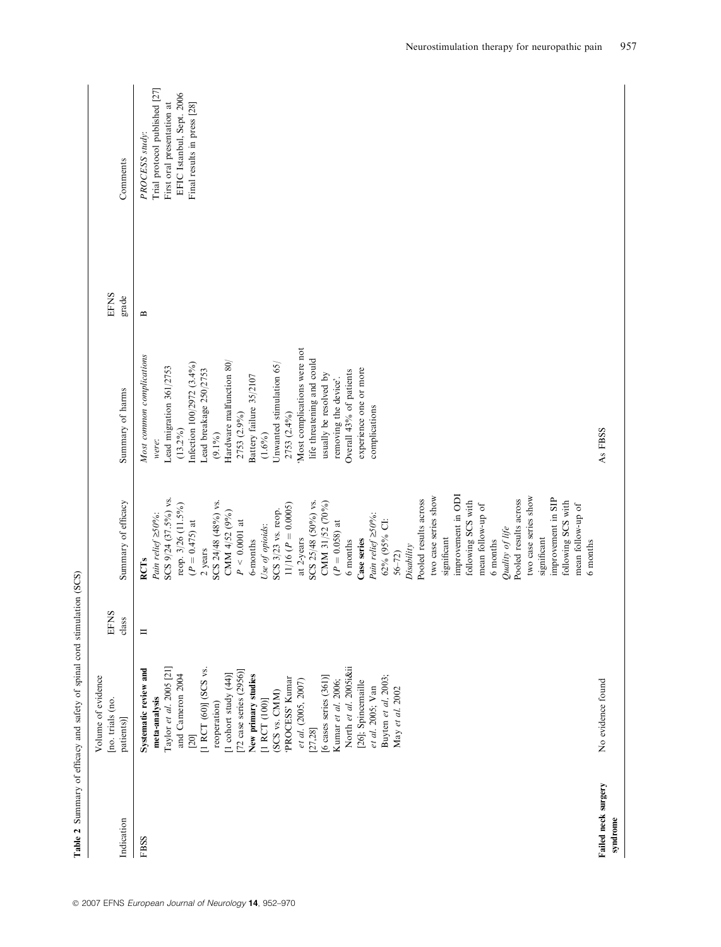|                     | Volume of evidence               |                      |                           |                             |               |                               |
|---------------------|----------------------------------|----------------------|---------------------------|-----------------------------|---------------|-------------------------------|
| Indication          | [no. trials (no.<br>patients)]   | <b>EFNS</b><br>class | Summary of efficacy       | Summary of harms            | EFNS<br>grade | Comments                      |
|                     |                                  |                      |                           |                             |               |                               |
| FBSS                | Systematic review and            | $\Box$               | <b>RCTs</b>               | Most common complications   | $\mathbf{m}$  | PROCESS study:                |
|                     | meta-analysis                    |                      | Pain relief $\geq 50\%$ : | were:                       |               | Trial protocol published [27] |
|                     | Taylor et al. 2005 [21]          |                      | SCS 9/24 (37.5%) vs.      | Lead migration 361/2753     |               | First oral presentation at    |
|                     | and Cameron 2004                 |                      | reop. 3/26 (11.5%)        | $(13.2\%)$                  |               | EFIC Istanbul, Sept. 2006     |
|                     | $[20]$                           |                      | $(P=0.475)$ at            | Infection 100/2972 (3.4%)   |               | Final results in press [28]   |
|                     | [1 RCT (60)] (SCS vs.            |                      | 2 years                   | Lead breakage 250/2753      |               |                               |
|                     | reoperation)                     |                      | SCS 24/48 (48%) vs.       | $(9.1\%)$                   |               |                               |
|                     | $[1 \text{ cohort study } (44)]$ |                      | CMM 4/52 (9%)             | Hardware malfunction 80/    |               |                               |
|                     | [72 case series $(2956)$ ]       |                      | $P \, < \, 0.0001$ at     | 2753 (2.9%)                 |               |                               |
|                     | New primary studies              |                      | 6-months                  | Battery failure 35/2107     |               |                               |
|                     | [1 RCT $(100)$ ]                 |                      | Use of opioids:           | $(1.6\%)$                   |               |                               |
|                     | (SCS vs. CMM)                    |                      | SCS 3/23 vs. reop.        | Unwanted stimulation 65/    |               |                               |
|                     | PROCESS' Kumar                   |                      | $11/16$ ( $P = 0.0005$ )  | 2753 (2.4%)                 |               |                               |
|                     | et al. (2005, 2007)              |                      | at 2-years                | Most complications were not |               |                               |
|                     | [27, 28]                         |                      | SCS 25/48 (50%) vs.       | life threatening and could  |               |                               |
|                     | [6 cases series (361)]           |                      | CMM 31/52 (70%)           | usually be resolved by      |               |                               |
|                     | Kumar et al. 2006;               |                      | $(P = 0.058)$ at          | removing the device'.       |               |                               |
|                     | North et al. 2005iⅈ              |                      | 6 months                  | Overall 43% of patients     |               |                               |
|                     | [26]; Spincemaille               |                      | Case series               | experience one or more      |               |                               |
|                     | et al. 2005; Van                 |                      | Pain relief $\geq$ 50%:   | complications               |               |                               |
|                     | Buyten et al, 2003;              |                      | 62% (95% CI:              |                             |               |                               |
|                     | May et al. 2002                  |                      | $56 - 72$                 |                             |               |                               |
|                     |                                  |                      | Disability                |                             |               |                               |
|                     |                                  |                      | Pooled results across     |                             |               |                               |
|                     |                                  |                      | two case series show      |                             |               |                               |
|                     |                                  |                      | significant               |                             |               |                               |
|                     |                                  |                      | improvement in OD1        |                             |               |                               |
|                     |                                  |                      | following SCS with        |                             |               |                               |
|                     |                                  |                      | mean follow-up of         |                             |               |                               |
|                     |                                  |                      | 6 months                  |                             |               |                               |
|                     |                                  |                      | Quality of life           |                             |               |                               |
|                     |                                  |                      | Pooled results across     |                             |               |                               |
|                     |                                  |                      | two case series show      |                             |               |                               |
|                     |                                  |                      | significant               |                             |               |                               |
|                     |                                  |                      | improvement in SIP        |                             |               |                               |
|                     |                                  |                      | following SCS with        |                             |               |                               |
|                     |                                  |                      | mean follow-up of         |                             |               |                               |
|                     |                                  |                      | 6 months                  |                             |               |                               |
| Failed neck surgery | No evidence found                |                      |                           | As FBSS                     |               |                               |
| syndrome            |                                  |                      |                           |                             |               |                               |

Table 2 Summary of efficacy and safety of spinal cord stimulation (SCS)

Table 2 Summary of efficacy and safety of spinal cord stimulation (SCS)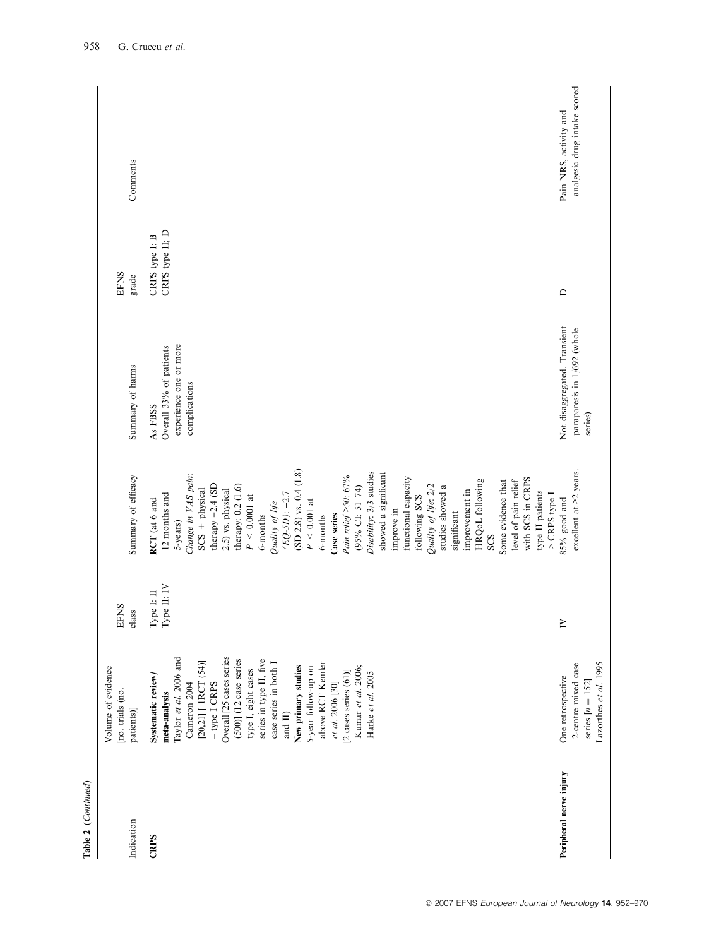| Indication              | Volume of evidence<br>[no. trials (no.<br>patients)                                                                                                                                                                                                                                                                                                                                                                                              | <b>EFNS</b><br>class                                                    | Summary of efficacy                                                                                                                                                                                                                                                                                                                                                                                                                                                                                                                                                                                                                                                                            | Summary of harms                                                              | <b>EFNS</b><br>grade              | Comments                                               |
|-------------------------|--------------------------------------------------------------------------------------------------------------------------------------------------------------------------------------------------------------------------------------------------------------------------------------------------------------------------------------------------------------------------------------------------------------------------------------------------|-------------------------------------------------------------------------|------------------------------------------------------------------------------------------------------------------------------------------------------------------------------------------------------------------------------------------------------------------------------------------------------------------------------------------------------------------------------------------------------------------------------------------------------------------------------------------------------------------------------------------------------------------------------------------------------------------------------------------------------------------------------------------------|-------------------------------------------------------------------------------|-----------------------------------|--------------------------------------------------------|
| CRPS                    | Overall [25 cases series<br>Taylor et al. 2006 and<br>$(500)$ ] $(12 \text{ case series})$<br>series in type II, five<br>$[20,21]$ [ $1RCT$ (54)]<br>above RCT Kemler<br>case series in both 1<br>New primary studies<br>Kumar et al. 2006;<br>5-year follow-up on<br>type I, eight cases<br>[2 cases series (61)]<br>Harke et al. 2005<br>Systematic review/<br>$-$ type I CRPS<br>et al. 2006 [30]<br>Cameron 2004<br>meta-analysis<br>and II) | $\begin{array}{ll} \text{Type I: II} \\ \text{Type II: IV} \end{array}$ | $(SD 2.8)$ vs. $0.4$ $(1.8)$<br>Disability: 3/3 studies<br>showed a significant<br>Change in VAS pain:<br>Pain relief $\geq$ 50: 67%<br>functional capacity<br>with SCS in CRPS<br>HRQoL following<br>Some evidence that<br>level of pain relief<br>therapy $-2.4$ (SD<br>Quality of life: 2/2<br>$(95% CI: 51-74)$<br>studies showed a<br>therapy: 0.2 (1.6)<br>2.5) vs. physical<br>SCS + physical<br>improvement in<br>type II patients<br>$(EQ-5D): -2.7$<br>$>$ CRPS type I<br>$P \, < \, 0.0001$ at<br>12 months and<br>following SCS<br>$P \, < \, 0.001$ at<br>RCT (at 6 and<br>Quality of life<br>improve in<br>significant<br>6-months<br>Case series<br>6-months<br>5-years)<br>SCS | experience one or more<br>Overall 33% of patients<br>complications<br>As FBSS | CRPS type II; D<br>CRPS type I: B |                                                        |
| Peripheral nerve injury | 2-centre mixed case<br>Lazorthes et al. 1995<br>One retrospective<br>series $[n = 152]$                                                                                                                                                                                                                                                                                                                                                          | $\geq$                                                                  | excellent at $\geq$ 2 years.<br>85% good and                                                                                                                                                                                                                                                                                                                                                                                                                                                                                                                                                                                                                                                   | Not disaggregated. Transient<br>paraparesis in 1/692 (whole<br>series)        | $\Box$                            | analgesic drug intake scored<br>Pain NRS, activity and |

Table 2 (Continued)

Table 2 (Continued)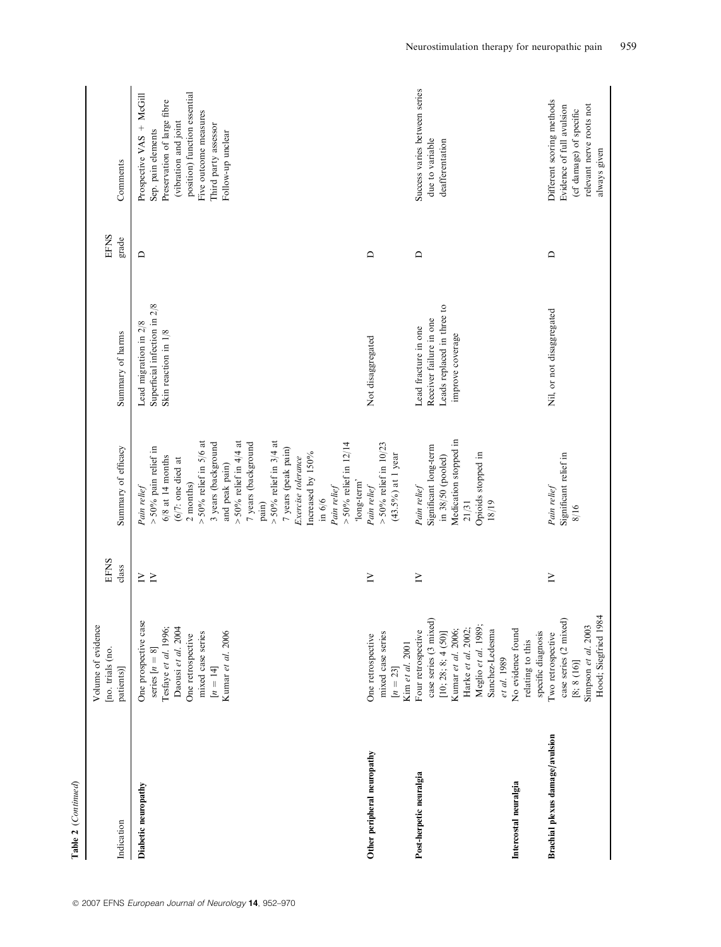| Indication                                               | Volume of evidence<br>[no. trials (no.<br>patients)                                                                                                                    | <b>EFNS</b><br>class | Summary of efficacy                                                                                                                                                                                                                                                                                                                                                                                | Summary of harms                                                                                  | <b>EFNS</b><br>grade | Comments                                                                                                                                                                                                    |
|----------------------------------------------------------|------------------------------------------------------------------------------------------------------------------------------------------------------------------------|----------------------|----------------------------------------------------------------------------------------------------------------------------------------------------------------------------------------------------------------------------------------------------------------------------------------------------------------------------------------------------------------------------------------------------|---------------------------------------------------------------------------------------------------|----------------------|-------------------------------------------------------------------------------------------------------------------------------------------------------------------------------------------------------------|
| Diabetic neuropathy                                      | One prospective case<br>Tesfaye et al. 1996;<br>Daousi et al. 2004<br>Kumar et al. 2006<br>mixed case series<br>One retrospective<br>series $[n = 8]$<br>$[n = 14]$    | $\geq$<br>$\geq$     | $>$ 50% relief in 5/6 at<br>$>$ 50% relief in 3/4 at<br>$>$ 50% relief in 4/4 at<br>3 years (background<br>7 years (background<br>$> 50\%$ relief in 12/14<br>$>$ 50% pain relief in<br>7 years (peak pain)<br>Increased by 150%<br>$6/8$ at 14 months<br>Exercise tolerance<br>$(6/7:$ one died at<br>and peak pain)<br>'long-term'<br>2 months)<br>Pain relief<br>Pain relief<br>in 6/6<br>pain) | Superficial infection in 2/8<br>Lead migration in 2/8<br>Skin reaction in 1/8                     | $\Box$               | position) function essential<br>Prospective VAS + McGill<br>Preservation of large fibre<br>Five outcome measures<br>(vibration and joint<br>Third party assessor<br>Sep. pain elements<br>Follow-up unclear |
| Other peripheral neuropathy                              | mixed case series<br>One retrospective<br>Kim et al. 2001<br>$[n = 23]$                                                                                                | ≧                    | $>$ 50% relief in 10/23<br>$(43.5\%)$ at 1 year<br>Pain relief                                                                                                                                                                                                                                                                                                                                     | Not disaggregated                                                                                 | $\square$            |                                                                                                                                                                                                             |
| Post-herpetic neuralgia                                  | case series (3 mixed)<br>Four retrospective<br>[10; 28; 8; 4(50)]<br>Kumar et al. 2006;<br>Harke et al. 2002;<br>Meglio et al. 1989<br>Sanchez-Ledesma<br>et al. 1989  | $\geq$               | Medication stopped in<br>Significant long-term<br>Opioids stopped in<br>in 38/50 (pooled)<br>Pain relief<br>21/31<br>$18/19$                                                                                                                                                                                                                                                                       | Leads replaced in three to<br>Receiver failure in one<br>Lead fracture in one<br>improve coverage | $\Box$               | Success varies between series<br>due to variable<br>deafferentation                                                                                                                                         |
| Brachial plexus damage/avulsion<br>Intercostal neuralgia | Hood; Siegfried 1984<br>case series (2 mixed)<br>Simpson et al. 2003<br>No evidence found<br>specific diagnosis<br>Two retrospective<br>relating to this<br>[8; 8(16)] | ≧                    | Significant relief in<br>Pain relief<br>8/16                                                                                                                                                                                                                                                                                                                                                       | Nil, or not disaggregated                                                                         | $\Box$               | Different scoring methods<br>relevant nerve roots not<br>Evidence of full avulsion<br>(cf damage) of specific<br>always given                                                                               |

Table 2 (Continued)

Table 2 (Continued)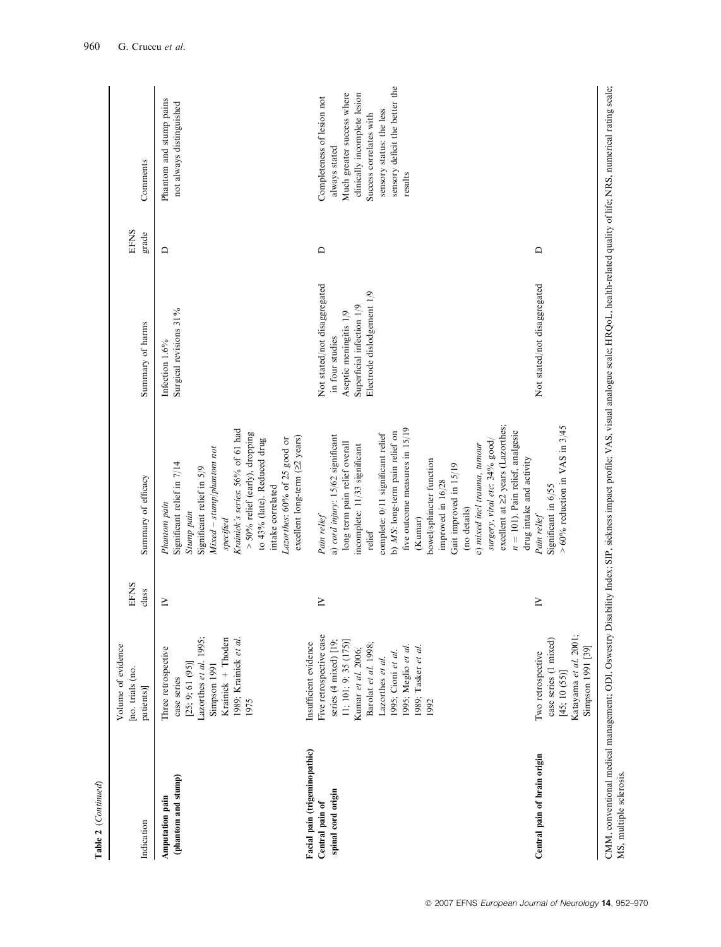| Indication                                                             | Volume of evidence<br>[no. trials (no.<br>patients)                                                                                                                                                                                                       | <b>EFNS</b><br>class | Summary of efficacy                                                                                                                                                                                                                                                                                                                                                                                                                                                                                                         | Summary of harms                                                                                                                     | <b>EFNS</b><br>grade | Comments                                                                                                                                                                                                      |
|------------------------------------------------------------------------|-----------------------------------------------------------------------------------------------------------------------------------------------------------------------------------------------------------------------------------------------------------|----------------------|-----------------------------------------------------------------------------------------------------------------------------------------------------------------------------------------------------------------------------------------------------------------------------------------------------------------------------------------------------------------------------------------------------------------------------------------------------------------------------------------------------------------------------|--------------------------------------------------------------------------------------------------------------------------------------|----------------------|---------------------------------------------------------------------------------------------------------------------------------------------------------------------------------------------------------------|
| (phantom and stump)<br><b>Amputation pain</b>                          | Krainick + Thoden<br>Lazorthes et al. 1995;<br>1989; Krainick et al.<br>Three retrospective<br>[25; 9; 61 (95)]<br>Simpson 1991<br>case series<br>1975                                                                                                    | Σ                    | Krainick's series: 56% of 61 had<br>> 50% relief (early), dropping<br>excellent long-term (22 years)<br>Lazorthes: 60% of 25 good or<br>to 43% (late). Reduced drug<br>Mixed – stump/phantom not<br>Significant relief in 7/14<br>Significant relief in 5/9<br>intake correlated<br>Phantom pain<br>Stump pain<br>specified                                                                                                                                                                                                 | Surgical revisions 31%<br>Infection 1.6%                                                                                             | ≏                    | Phantom and stump pains<br>not always distinguished                                                                                                                                                           |
| Facial pain (trigeminopathic)<br>spinal cord origin<br>Central pain of | Five retrospective case<br>series $(4 \text{ mixed})$ [19;<br>Insufficient evidence<br>11; 101; 9; 35 (175)<br>Barolat et al. 1998;<br>1989; Tasker et al.<br>1995; Meglio et al.<br>Kumar et al. 2006;<br>1995; Cioni et al.<br>Lazorthes et al.<br>1992 | Σ                    | excellent at $\geq$ 2 years (Lazorthes;<br>five outcome measures in 15/19<br>$n = 101$ ). Pain relief, analgesic<br>b) MS: long-term pain relief on<br>complete: 0/11 significant relief<br>a) cord injury: 15/62 significant<br>surgery, viral etc: 34% good/<br>long term pain relief overall<br>incomplete: 11/33 significant<br>c) mixed incl trauma, tumour<br>drug intake and activity<br>bowel/sphincter function<br>Gait improved in 15/19<br>improved in 16/28<br>(no details)<br>Pain relief<br>(Kumar)<br>relief | Not stated/not disaggregated<br>Electrode dislodgement 1/9<br>Superficial infection 1/9<br>Aseptic meningitis 1/9<br>in four studies | $\Box$               | sensory deficit the better the<br>Much greater success where<br>clinically incomplete lesion<br>Completeness of lesion not<br>sensory status: the less<br>Success correlates with<br>always stated<br>results |
| Central pain of brain origin                                           | Katayama et al. 2001;<br>case series (1 mixed)<br>Simpson 1991 [39]<br>Two retrospective<br>[45; 10(55)]                                                                                                                                                  | $\geq$               | $>60\%$ reduction in VAS in 3/45<br>Significant in 6/55<br>Pain relief                                                                                                                                                                                                                                                                                                                                                                                                                                                      | Not stated/not disaggregated                                                                                                         | $\Box$               |                                                                                                                                                                                                               |
| MS, multiple sclerosis.                                                |                                                                                                                                                                                                                                                           |                      | CMM, conventional medical management; ODI, Oswestry Disability Index; SIP, sickness impact profile; VAS, visual analogue scale; HRQoL, health-related quality of life; NRS, numerical rating scale;                                                                                                                                                                                                                                                                                                                         |                                                                                                                                      |                      |                                                                                                                                                                                                               |

Table 2 (Continued)

 ${\bf Table ~2}~(Continued)$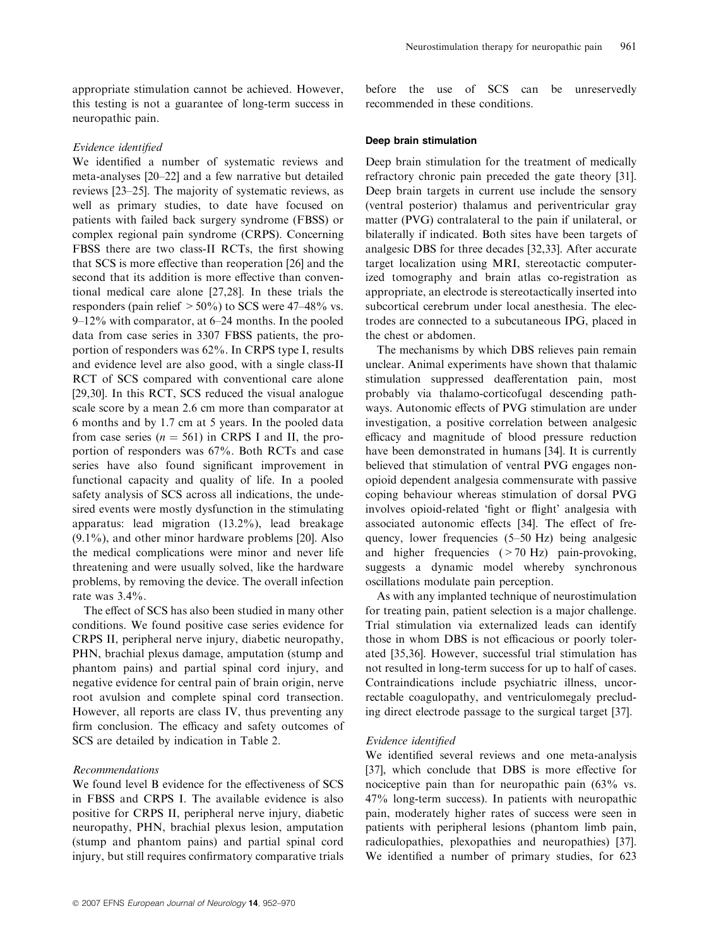## Evidence identified

We identified a number of systematic reviews and meta-analyses [20–22] and a few narrative but detailed reviews [23–25]. The majority of systematic reviews, as well as primary studies, to date have focused on patients with failed back surgery syndrome (FBSS) or complex regional pain syndrome (CRPS). Concerning FBSS there are two class-II RCTs, the first showing that SCS is more effective than reoperation [26] and the second that its addition is more effective than conventional medical care alone [27,28]. In these trials the responders (pain relief  $>50\%$ ) to SCS were 47–48% vs. 9–12% with comparator, at 6–24 months. In the pooled data from case series in 3307 FBSS patients, the proportion of responders was 62%. In CRPS type I, results and evidence level are also good, with a single class-II RCT of SCS compared with conventional care alone [29,30]. In this RCT, SCS reduced the visual analogue scale score by a mean 2.6 cm more than comparator at 6 months and by 1.7 cm at 5 years. In the pooled data from case series ( $n = 561$ ) in CRPS I and II, the proportion of responders was 67%. Both RCTs and case series have also found significant improvement in functional capacity and quality of life. In a pooled safety analysis of SCS across all indications, the undesired events were mostly dysfunction in the stimulating apparatus: lead migration (13.2%), lead breakage (9.1%), and other minor hardware problems [20]. Also the medical complications were minor and never life threatening and were usually solved, like the hardware problems, by removing the device. The overall infection rate was 3.4%.

The effect of SCS has also been studied in many other conditions. We found positive case series evidence for CRPS II, peripheral nerve injury, diabetic neuropathy, PHN, brachial plexus damage, amputation (stump and phantom pains) and partial spinal cord injury, and negative evidence for central pain of brain origin, nerve root avulsion and complete spinal cord transection. However, all reports are class IV, thus preventing any firm conclusion. The efficacy and safety outcomes of SCS are detailed by indication in Table 2.

## Recommendations

We found level B evidence for the effectiveness of SCS in FBSS and CRPS I. The available evidence is also positive for CRPS II, peripheral nerve injury, diabetic neuropathy, PHN, brachial plexus lesion, amputation (stump and phantom pains) and partial spinal cord injury, but still requires confirmatory comparative trials before the use of SCS can be unreservedly recommended in these conditions.

## Deep brain stimulation

Deep brain stimulation for the treatment of medically refractory chronic pain preceded the gate theory [31]. Deep brain targets in current use include the sensory (ventral posterior) thalamus and periventricular gray matter (PVG) contralateral to the pain if unilateral, or bilaterally if indicated. Both sites have been targets of analgesic DBS for three decades [32,33]. After accurate target localization using MRI, stereotactic computerized tomography and brain atlas co-registration as appropriate, an electrode is stereotactically inserted into subcortical cerebrum under local anesthesia. The electrodes are connected to a subcutaneous IPG, placed in the chest or abdomen.

The mechanisms by which DBS relieves pain remain unclear. Animal experiments have shown that thalamic stimulation suppressed deafferentation pain, most probably via thalamo-corticofugal descending pathways. Autonomic effects of PVG stimulation are under investigation, a positive correlation between analgesic efficacy and magnitude of blood pressure reduction have been demonstrated in humans [34]. It is currently believed that stimulation of ventral PVG engages nonopioid dependent analgesia commensurate with passive coping behaviour whereas stimulation of dorsal PVG involves opioid-related 'fight or flight' analgesia with associated autonomic effects [34]. The effect of frequency, lower frequencies (5–50 Hz) being analgesic and higher frequencies  $(>70 \text{ Hz})$  pain-provoking, suggests a dynamic model whereby synchronous oscillations modulate pain perception.

As with any implanted technique of neurostimulation for treating pain, patient selection is a major challenge. Trial stimulation via externalized leads can identify those in whom DBS is not efficacious or poorly tolerated [35,36]. However, successful trial stimulation has not resulted in long-term success for up to half of cases. Contraindications include psychiatric illness, uncorrectable coagulopathy, and ventriculomegaly precluding direct electrode passage to the surgical target [37].

## Evidence identified

We identified several reviews and one meta-analysis [37], which conclude that DBS is more effective for nociceptive pain than for neuropathic pain (63% vs. 47% long-term success). In patients with neuropathic pain, moderately higher rates of success were seen in patients with peripheral lesions (phantom limb pain, radiculopathies, plexopathies and neuropathies) [37]. We identified a number of primary studies, for 623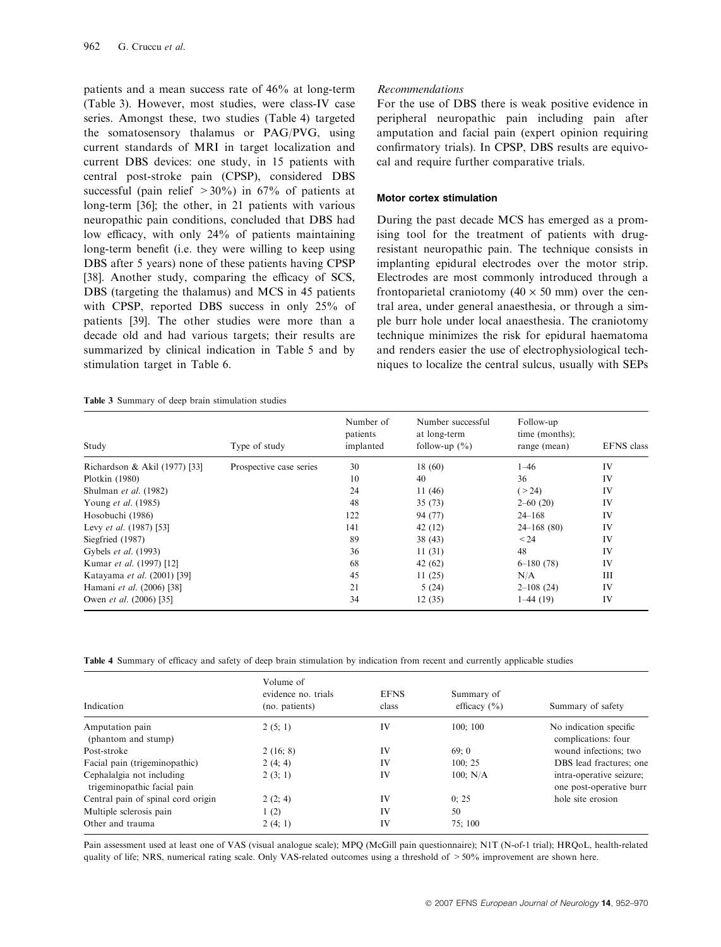patients and a mean success rate of 46% at long-term (Table 3). However, most studies, were class-IV case series. Amongst these, two studies (Table 4) targeted the somatosensory thalamus or PAG/PVG, using current standards of MRI in target localization and current DBS devices: one study, in 15 patients with central post-stroke pain (CPSP), considered DBS successful (pain relief  $>30\%$ ) in 67% of patients at long-term [36]; the other, in 21 patients with various neuropathic pain conditions, concluded that DBS had low efficacy, with only 24% of patients maintaining long-term benefit (i.e. they were willing to keep using DBS after 5 years) none of these patients having CPSP [38]. Another study, comparing the efficacy of SCS, DBS (targeting the thalamus) and MCS in 45 patients with CPSP, reported DBS success in only 25% of patients [39]. The other studies were more than a decade old and had various targets; their results are summarized by clinical indication in Table 5 and by stimulation target in Table 6.

### Recommendations

For the use of DBS there is weak positive evidence in peripheral neuropathic pain including pain after amputation and facial pain (expert opinion requiring confirmatory trials). In CPSP, DBS results are equivocal and require further comparative trials.

### Motor cortex stimulation

During the past decade MCS has emerged as a promising tool for the treatment of patients with drugresistant neuropathic pain. The technique consists in implanting epidural electrodes over the motor strip. Electrodes are most commonly introduced through a frontoparietal craniotomy (40  $\times$  50 mm) over the central area, under general anaesthesia, or through a simple burr hole under local anaesthesia. The craniotomy technique minimizes the risk for epidural haematoma and renders easier the use of electrophysiological techniques to localize the central sulcus, usually with SEPs

| Table 3 Summary of deep brain stimulation studies |  |  |  |  |
|---------------------------------------------------|--|--|--|--|
|---------------------------------------------------|--|--|--|--|

| Study                         | Type of study           | Number of<br>patients<br>implanted | Number successful<br>at long-term<br>follow-up $(\% )$ | Follow-up<br>time (months);<br>range (mean) | EFNS class |
|-------------------------------|-------------------------|------------------------------------|--------------------------------------------------------|---------------------------------------------|------------|
| Richardson & Akil (1977) [33] | Prospective case series | 30                                 | 18 (60)                                                | $1 - 46$                                    | IV         |
| Plotkin (1980)                |                         | 10                                 | 40                                                     | 36                                          | IV         |
| Shulman et al. (1982)         |                         | 24                                 | 11(46)                                                 | ( > 24)                                     | IV         |
| Young et al. (1985)           |                         | 48                                 | 35(73)                                                 | $2 - 60(20)$                                | IV         |
| Hosobuchi (1986)              |                         | 122                                | 94 (77)                                                | $24 - 168$                                  | IV         |
| Levy et al. (1987) [53]       |                         | 141                                | 42(12)                                                 | $24 - 168(80)$                              | IV         |
| Siegfried (1987)              |                         | 89                                 | 38(43)                                                 | < 24                                        | IV         |
| Gybels et al. (1993)          |                         | 36                                 | 11(31)                                                 | 48                                          | IV         |
| Kumar et al. (1997) [12]      |                         | 68                                 | 42(62)                                                 | $6 - 180(78)$                               | IV         |
| Katayama et al. (2001) [39]   |                         | 45                                 | 11(25)                                                 | N/A                                         | III        |
| Hamani et al. (2006) [38]     |                         | 21                                 | 5(24)                                                  | $2 - 108(24)$                               | IV         |
| Owen et al. (2006) [35]       |                         | 34                                 | 12(35)                                                 | $1-44(19)$                                  | IV         |

Table 4 Summary of efficacy and safety of deep brain stimulation by indication from recent and currently applicable studies

| Indication                                               | Volume of<br>evidence no. trials<br>(no. patients) | <b>EFNS</b><br>class | Summary of<br>efficacy $(\% )$ | Summary of safety                                   |
|----------------------------------------------------------|----------------------------------------------------|----------------------|--------------------------------|-----------------------------------------------------|
| Amputation pain                                          | 2(5; 1)                                            | IV                   | 100:100                        | No indication specific                              |
| (phantom and stump)                                      |                                                    |                      |                                | complications: four                                 |
| Post-stroke                                              | 2(16; 8)                                           | IV                   | 69:0                           | wound infections; two                               |
| Facial pain (trigeminopathic)                            | 2(4; 4)                                            | IV                   | 100:25                         | DBS lead fractures; one                             |
| Cephalalgia not including<br>trigeminopathic facial pain | 2(3; 1)                                            | IV                   | 100; N/A                       | intra-operative seizure;<br>one post-operative burr |
| Central pain of spinal cord origin                       | 2(2; 4)                                            | IV                   | 0:25                           | hole site erosion                                   |
| Multiple sclerosis pain                                  | 1(2)                                               | IV                   | 50                             |                                                     |
| Other and trauma                                         | 2(4; 1)                                            | IV                   | 75:100                         |                                                     |

Pain assessment used at least one of VAS (visual analogue scale); MPQ (McGill pain questionnaire); N1T (N-of-1 trial); HRQoL, health-related quality of life; NRS, numerical rating scale. Only VAS-related outcomes using a threshold of  $>50\%$  improvement are shown here.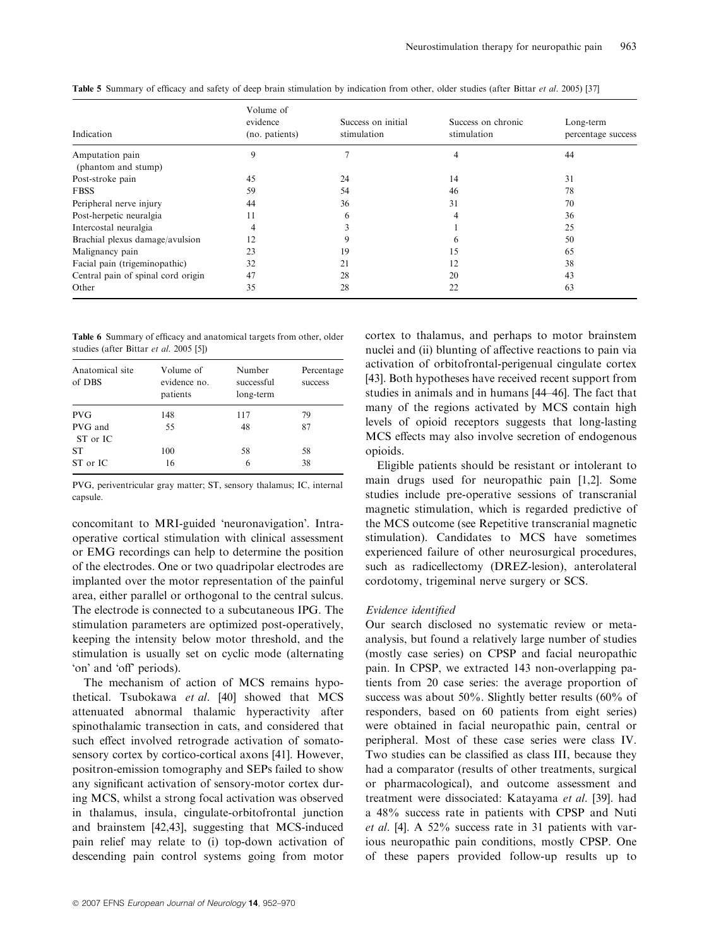| Indication                             | Volume of<br>evidence<br>(no. patients) | Success on initial<br>stimulation | Success on chronic<br>stimulation | Long-term<br>percentage success |
|----------------------------------------|-----------------------------------------|-----------------------------------|-----------------------------------|---------------------------------|
| Amputation pain<br>(phantom and stump) | 9                                       |                                   | 4                                 | 44                              |
| Post-stroke pain                       | 45                                      | 24                                | 14                                | 31                              |
| <b>FBSS</b>                            | 59                                      | 54                                | 46                                | 78                              |
| Peripheral nerve injury                | 44                                      | 36                                | 31                                | 70                              |
| Post-herpetic neuralgia                | 11                                      | 6                                 |                                   | 36                              |
| Intercostal neuralgia                  |                                         |                                   |                                   | 25                              |
| Brachial plexus damage/avulsion        | 12                                      |                                   | 6                                 | 50                              |
| Malignancy pain                        | 23                                      | 19                                | 15                                | 65                              |
| Facial pain (trigeminopathic)          | 32                                      | 21                                | 12                                | 38                              |
| Central pain of spinal cord origin     | 47                                      | 28                                | 20                                | 43                              |
| Other                                  | 35                                      | 28                                | 22                                | 63                              |

| Table 5 Summary of efficacy and safety of deep brain stimulation by indication from other, older studies (after Bittar et al. 2005) [37] |  |
|------------------------------------------------------------------------------------------------------------------------------------------|--|
|------------------------------------------------------------------------------------------------------------------------------------------|--|

Table 6 Summary of efficacy and anatomical targets from other, older studies (after Bittar et al. 2005 [5])

| Anatomical site<br>of DBS | Volume of<br>evidence no.<br>patients | Number<br>successful<br>long-term | Percentage<br>success |
|---------------------------|---------------------------------------|-----------------------------------|-----------------------|
| <b>PVG</b>                | 148                                   | 117                               | 79                    |
| PVG and<br>ST or IC       | 55                                    | 48                                | 87                    |
| <b>ST</b>                 | 100                                   | 58                                | 58                    |
| ST or IC                  | 16                                    | 6                                 | 38                    |

PVG, periventricular gray matter; ST, sensory thalamus; IC, internal capsule.

concomitant to MRI-guided 'neuronavigation'. Intraoperative cortical stimulation with clinical assessment or EMG recordings can help to determine the position of the electrodes. One or two quadripolar electrodes are implanted over the motor representation of the painful area, either parallel or orthogonal to the central sulcus. The electrode is connected to a subcutaneous IPG. The stimulation parameters are optimized post-operatively, keeping the intensity below motor threshold, and the stimulation is usually set on cyclic mode (alternating 'on' and 'off' periods).

The mechanism of action of MCS remains hypothetical. Tsubokawa et al. [40] showed that MCS attenuated abnormal thalamic hyperactivity after spinothalamic transection in cats, and considered that such effect involved retrograde activation of somatosensory cortex by cortico-cortical axons [41]. However, positron-emission tomography and SEPs failed to show any significant activation of sensory-motor cortex during MCS, whilst a strong focal activation was observed in thalamus, insula, cingulate-orbitofrontal junction and brainstem [42,43], suggesting that MCS-induced pain relief may relate to (i) top-down activation of descending pain control systems going from motor cortex to thalamus, and perhaps to motor brainstem nuclei and (ii) blunting of affective reactions to pain via activation of orbitofrontal-perigenual cingulate cortex [43]. Both hypotheses have received recent support from studies in animals and in humans [44–46]. The fact that many of the regions activated by MCS contain high levels of opioid receptors suggests that long-lasting MCS effects may also involve secretion of endogenous opioids.

Eligible patients should be resistant or intolerant to main drugs used for neuropathic pain [1,2]. Some studies include pre-operative sessions of transcranial magnetic stimulation, which is regarded predictive of the MCS outcome (see Repetitive transcranial magnetic stimulation). Candidates to MCS have sometimes experienced failure of other neurosurgical procedures, such as radicellectomy (DREZ-lesion), anterolateral cordotomy, trigeminal nerve surgery or SCS.

#### Evidence identified

Our search disclosed no systematic review or metaanalysis, but found a relatively large number of studies (mostly case series) on CPSP and facial neuropathic pain. In CPSP, we extracted 143 non-overlapping patients from 20 case series: the average proportion of success was about 50%. Slightly better results (60% of responders, based on 60 patients from eight series) were obtained in facial neuropathic pain, central or peripheral. Most of these case series were class IV. Two studies can be classified as class III, because they had a comparator (results of other treatments, surgical or pharmacological), and outcome assessment and treatment were dissociated: Katayama et al. [39]. had a 48% success rate in patients with CPSP and Nuti et al. [4]. A 52% success rate in 31 patients with various neuropathic pain conditions, mostly CPSP. One of these papers provided follow-up results up to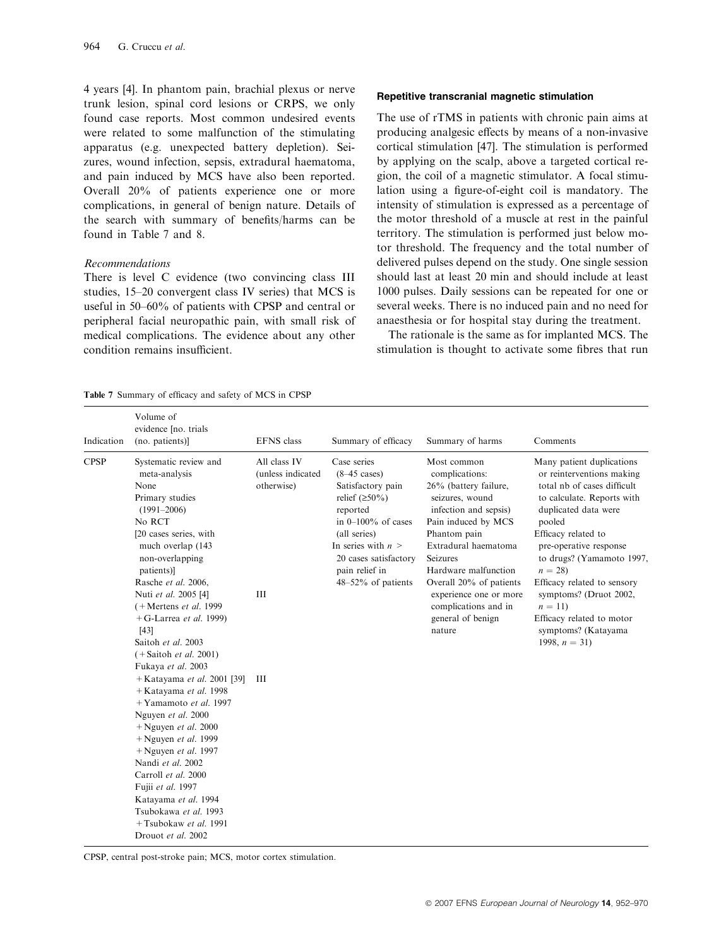4 years [4]. In phantom pain, brachial plexus or nerve trunk lesion, spinal cord lesions or CRPS, we only found case reports. Most common undesired events were related to some malfunction of the stimulating apparatus (e.g. unexpected battery depletion). Seizures, wound infection, sepsis, extradural haematoma, and pain induced by MCS have also been reported. Overall 20% of patients experience one or more complications, in general of benign nature. Details of the search with summary of benefits/harms can be found in Table 7 and 8.

## Recommendations

There is level C evidence (two convincing class III studies, 15–20 convergent class IV series) that MCS is useful in 50–60% of patients with CPSP and central or peripheral facial neuropathic pain, with small risk of medical complications. The evidence about any other condition remains insufficient.

#### Repetitive transcranial magnetic stimulation

The use of rTMS in patients with chronic pain aims at producing analgesic effects by means of a non-invasive cortical stimulation [47]. The stimulation is performed by applying on the scalp, above a targeted cortical region, the coil of a magnetic stimulator. A focal stimulation using a figure-of-eight coil is mandatory. The intensity of stimulation is expressed as a percentage of the motor threshold of a muscle at rest in the painful territory. The stimulation is performed just below motor threshold. The frequency and the total number of delivered pulses depend on the study. One single session should last at least 20 min and should include at least 1000 pulses. Daily sessions can be repeated for one or several weeks. There is no induced pain and no need for anaesthesia or for hospital stay during the treatment.

The rationale is the same as for implanted MCS. The stimulation is thought to activate some fibres that run

#### Table 7 Summary of efficacy and safety of MCS in CPSP

| Indication  | Volume of<br>evidence [no. trials<br>(no. patients)]                                                                                                                                                                                                                                                                                                                                                                                                                                                                                                                                                                                                                                                           | <b>EFNS</b> class                                           | Summary of efficacy                                                                                                                                                                                                                 | Summary of harms                                                                                                                                                                                                                                                                                                  | Comments                                                                                                                                                                                                                                                                                                                                                                                     |
|-------------|----------------------------------------------------------------------------------------------------------------------------------------------------------------------------------------------------------------------------------------------------------------------------------------------------------------------------------------------------------------------------------------------------------------------------------------------------------------------------------------------------------------------------------------------------------------------------------------------------------------------------------------------------------------------------------------------------------------|-------------------------------------------------------------|-------------------------------------------------------------------------------------------------------------------------------------------------------------------------------------------------------------------------------------|-------------------------------------------------------------------------------------------------------------------------------------------------------------------------------------------------------------------------------------------------------------------------------------------------------------------|----------------------------------------------------------------------------------------------------------------------------------------------------------------------------------------------------------------------------------------------------------------------------------------------------------------------------------------------------------------------------------------------|
| <b>CPSP</b> | Systematic review and<br>meta-analysis<br>None<br>Primary studies<br>$(1991 - 2006)$<br>No RCT<br>[20 cases series, with<br>much overlap (143<br>non-overlapping<br>patients)]<br>Rasche et al. 2006,<br>Nuti et al. 2005 [4]<br>$(+$ Mertens et al. 1999<br>+ G-Larrea et al. 1999)<br>$[43]$<br>Saitoh et al. 2003<br>$(+$ Saitoh <i>et al.</i> 2001)<br>Fukaya et al. 2003<br>+ Katayama et al. 2001 [39]<br>$+$ Katayama et al. 1998<br>+ Yamamoto et al. 1997<br>Nguyen et al. 2000<br>+ Nguyen et al. 2000<br>+ Nguyen et al. 1999<br>+ Nguyen et al. 1997<br>Nandi et al. 2002<br>Carroll et al. 2000<br>Fujii et al. 1997<br>Katayama et al. 1994<br>Tsubokawa et al. 1993<br>$+$ Tsubokaw et al. 1991 | All class IV<br>(unless indicated<br>otherwise)<br>III<br>Ш | Case series<br>$(8-45 \text{ cases})$<br>Satisfactory pain<br>relief $(\geq 50\%)$<br>reported<br>in $0-100\%$ of cases<br>(all series)<br>In series with $n >$<br>20 cases satisfactory<br>pain relief in<br>$48-52\%$ of patients | Most common<br>complications:<br>26% (battery failure,<br>seizures, wound<br>infection and sepsis)<br>Pain induced by MCS<br>Phantom pain<br>Extradural haematoma<br>Seizures<br>Hardware malfunction<br>Overall 20% of patients<br>experience one or more<br>complications and in<br>general of benign<br>nature | Many patient duplications<br>or reinterventions making<br>total nb of cases difficult<br>to calculate. Reports with<br>duplicated data were<br>pooled<br>Efficacy related to<br>pre-operative response<br>to drugs? (Yamamoto 1997,<br>$n = 28$<br>Efficacy related to sensory<br>symptoms? (Druot 2002,<br>$n = 11$<br>Efficacy related to motor<br>symptoms? (Katayama<br>1998, $n = 31$ ) |

CPSP, central post-stroke pain; MCS, motor cortex stimulation.

Drouot et al. 2002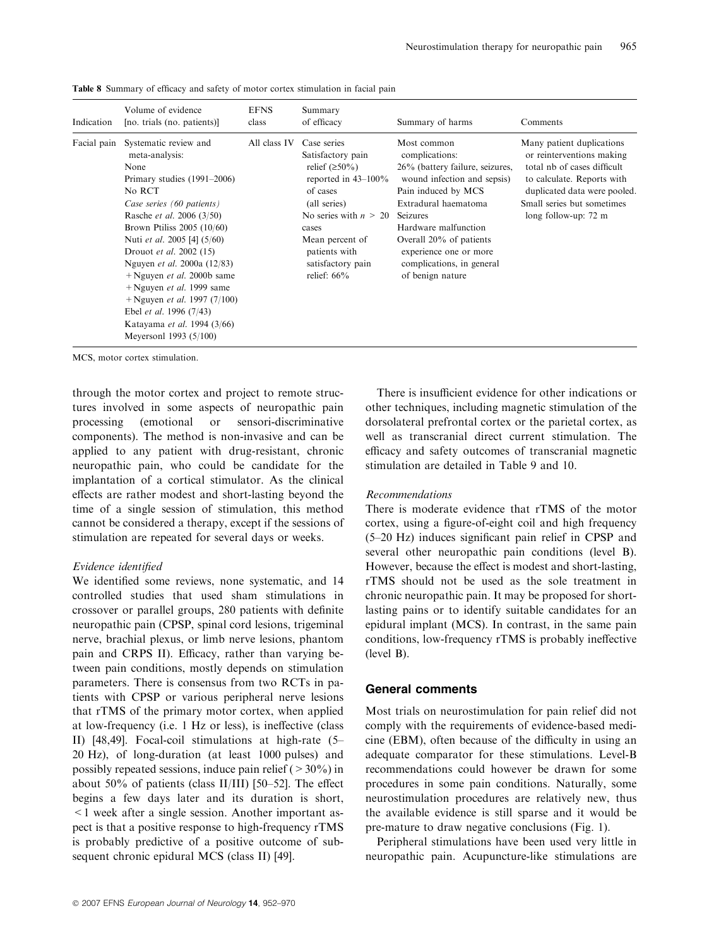| Indication  | Volume of evidence<br>[no. trials (no. patients)]                                                                                                                                                                                                                                                                                                                                                                                                                                    | <b>EFNS</b><br>class | Summary<br>of efficacy                                                                                                                                                                                                        | Summary of harms                                                                                                                                                                                                                                                                         | Comments                                                                                                                                                                                                  |
|-------------|--------------------------------------------------------------------------------------------------------------------------------------------------------------------------------------------------------------------------------------------------------------------------------------------------------------------------------------------------------------------------------------------------------------------------------------------------------------------------------------|----------------------|-------------------------------------------------------------------------------------------------------------------------------------------------------------------------------------------------------------------------------|------------------------------------------------------------------------------------------------------------------------------------------------------------------------------------------------------------------------------------------------------------------------------------------|-----------------------------------------------------------------------------------------------------------------------------------------------------------------------------------------------------------|
| Facial pain | Systematic review and<br>meta-analysis:<br>None<br>Primary studies $(1991-2006)$<br>No RCT<br>Case series (60 patients)<br>Rasche et al. 2006 (3/50)<br>Brown Ptiliss $2005(10/60)$<br>Nuti et al. 2005 [4] (5/60)<br>Drouot et al. 2002 (15)<br>Nguyen et al. 2000a (12/83)<br>$+$ Nguyen <i>et al.</i> 2000b same<br>$+$ Nguyen <i>et al.</i> 1999 same<br>+ Nguyen <i>et al.</i> 1997 (7/100)<br>Ebel et al. 1996 (7/43)<br>Katayama et al. 1994 (3/66)<br>Meyersonl 1993 (5/100) | All class IV         | Case series<br>Satisfactory pain<br>relief $(\geq 50\%)$<br>reported in $43-100\%$<br>of cases<br>(all series)<br>No series with $n > 20$<br>cases<br>Mean percent of<br>patients with<br>satisfactory pain<br>relief: $66\%$ | Most common<br>complications:<br>26% (battery failure, seizures,<br>wound infection and sepsis)<br>Pain induced by MCS<br>Extradural haematoma<br>Seizures<br>Hardware malfunction<br>Overall 20% of patients<br>experience one or more<br>complications, in general<br>of benign nature | Many patient duplications<br>or reinterventions making<br>total nb of cases difficult<br>to calculate. Reports with<br>duplicated data were pooled.<br>Small series but sometimes<br>long follow-up: 72 m |

Table 8 Summary of efficacy and safety of motor cortex stimulation in facial pain

MCS, motor cortex stimulation.

through the motor cortex and project to remote structures involved in some aspects of neuropathic pain processing (emotional or sensori-discriminative components). The method is non-invasive and can be applied to any patient with drug-resistant, chronic neuropathic pain, who could be candidate for the implantation of a cortical stimulator. As the clinical effects are rather modest and short-lasting beyond the time of a single session of stimulation, this method cannot be considered a therapy, except if the sessions of stimulation are repeated for several days or weeks.

#### Evidence identified

We identified some reviews, none systematic, and 14 controlled studies that used sham stimulations in crossover or parallel groups, 280 patients with definite neuropathic pain (CPSP, spinal cord lesions, trigeminal nerve, brachial plexus, or limb nerve lesions, phantom pain and CRPS II). Efficacy, rather than varying between pain conditions, mostly depends on stimulation parameters. There is consensus from two RCTs in patients with CPSP or various peripheral nerve lesions that rTMS of the primary motor cortex, when applied at low-frequency (i.e. 1 Hz or less), is ineffective (class II) [48,49]. Focal-coil stimulations at high-rate (5– 20 Hz), of long-duration (at least 1000 pulses) and possibly repeated sessions, induce pain relief ( $>30\%$ ) in about 50% of patients (class II/III) [50–52]. The effect begins a few days later and its duration is short, <1 week after a single session. Another important aspect is that a positive response to high-frequency rTMS is probably predictive of a positive outcome of subsequent chronic epidural MCS (class II) [49].

There is insufficient evidence for other indications or other techniques, including magnetic stimulation of the dorsolateral prefrontal cortex or the parietal cortex, as well as transcranial direct current stimulation. The efficacy and safety outcomes of transcranial magnetic stimulation are detailed in Table 9 and 10.

#### Recommendations

There is moderate evidence that rTMS of the motor cortex, using a figure-of-eight coil and high frequency (5–20 Hz) induces significant pain relief in CPSP and several other neuropathic pain conditions (level B). However, because the effect is modest and short-lasting, rTMS should not be used as the sole treatment in chronic neuropathic pain. It may be proposed for shortlasting pains or to identify suitable candidates for an epidural implant (MCS). In contrast, in the same pain conditions, low-frequency rTMS is probably ineffective (level B).

## General comments

Most trials on neurostimulation for pain relief did not comply with the requirements of evidence-based medicine (EBM), often because of the difficulty in using an adequate comparator for these stimulations. Level-B recommendations could however be drawn for some procedures in some pain conditions. Naturally, some neurostimulation procedures are relatively new, thus the available evidence is still sparse and it would be pre-mature to draw negative conclusions (Fig. 1).

Peripheral stimulations have been used very little in neuropathic pain. Acupuncture-like stimulations are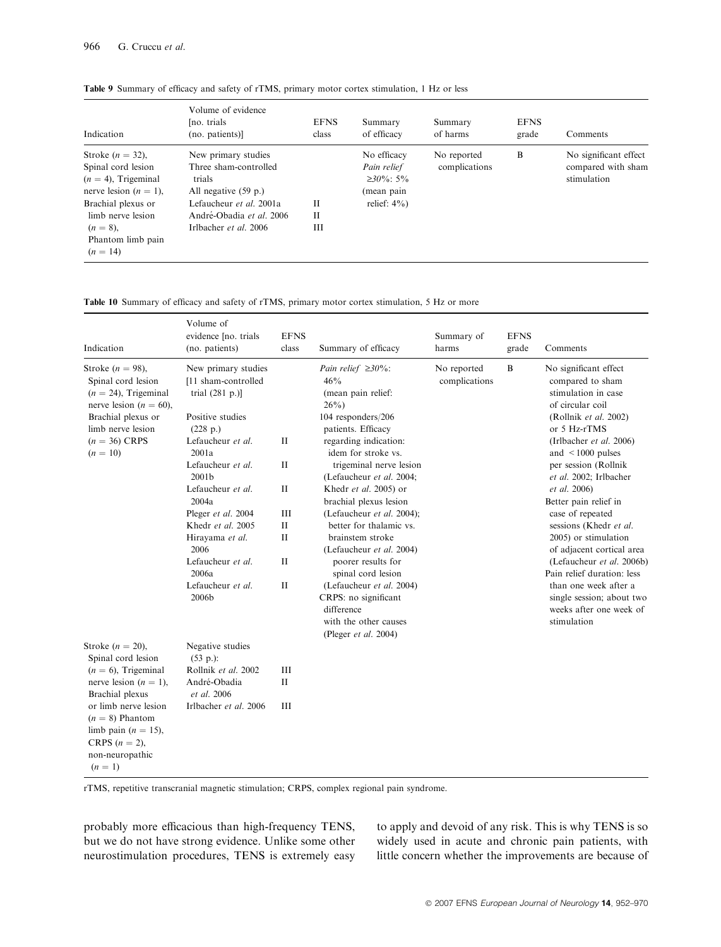| Indication                                                                                                                                                                                   | Volume of evidence<br>no. trials<br>(no. patients)]                                                                                                            | <b>EFNS</b><br>class | Summary<br>of efficacy                                                          | Summary<br>of harms          | <b>EFNS</b><br>grade | Comments                                                   |
|----------------------------------------------------------------------------------------------------------------------------------------------------------------------------------------------|----------------------------------------------------------------------------------------------------------------------------------------------------------------|----------------------|---------------------------------------------------------------------------------|------------------------------|----------------------|------------------------------------------------------------|
| Stroke $(n = 32)$ ,<br>Spinal cord lesion<br>$(n = 4)$ , Trigeminal<br>nerve lesion $(n = 1)$ ,<br>Brachial plexus or<br>limb nerve lesion<br>$(n = 8)$ ,<br>Phantom limb pain<br>$(n = 14)$ | New primary studies<br>Three sham-controlled<br>trials<br>All negative (59 p.)<br>Lefaucheur et al. 2001a<br>André-Obadia et al. 2006<br>Irlbacher et al. 2006 | H<br>H<br>Ш          | No efficacy<br>Pain relief<br>$\geq 30\%$ : 5%<br>(mean pain<br>relief: $4\%$ ) | No reported<br>complications | B                    | No significant effect<br>compared with sham<br>stimulation |

Table 9 Summary of efficacy and safety of rTMS, primary motor cortex stimulation, 1 Hz or less

|  |  |  |  |  |  |  |  |  |  |  |  | Table 10 Summary of efficacy and safety of rTMS, primary motor cortex stimulation, 5 Hz or more |  |  |  |
|--|--|--|--|--|--|--|--|--|--|--|--|-------------------------------------------------------------------------------------------------|--|--|--|
|--|--|--|--|--|--|--|--|--|--|--|--|-------------------------------------------------------------------------------------------------|--|--|--|

| Indication                                                                                                                                                                                                                                    | Volume of<br>evidence [no. trials<br>(no. patients)                                                                                                                                                                                                                                                                                    | <b>EFNS</b><br>class                                                                                    | Summary of efficacy                                                                                                                                                                                                                                                                                                                                                                                                                                                                                                     | Summary of<br>harms          | <b>EFNS</b><br>grade | Comments                                                                                                                                                                                                                                                                                                                                                                                                                                                                                                                                    |  |
|-----------------------------------------------------------------------------------------------------------------------------------------------------------------------------------------------------------------------------------------------|----------------------------------------------------------------------------------------------------------------------------------------------------------------------------------------------------------------------------------------------------------------------------------------------------------------------------------------|---------------------------------------------------------------------------------------------------------|-------------------------------------------------------------------------------------------------------------------------------------------------------------------------------------------------------------------------------------------------------------------------------------------------------------------------------------------------------------------------------------------------------------------------------------------------------------------------------------------------------------------------|------------------------------|----------------------|---------------------------------------------------------------------------------------------------------------------------------------------------------------------------------------------------------------------------------------------------------------------------------------------------------------------------------------------------------------------------------------------------------------------------------------------------------------------------------------------------------------------------------------------|--|
| Stroke $(n = 98)$ ,<br>Spinal cord lesion<br>$(n = 24)$ , Trigeminal<br>nerve lesion ( $n = 60$ ),<br>Brachial plexus or<br>limb nerve lesion<br>$(n = 36)$ CRPS<br>$(n = 10)$                                                                | New primary studies<br>[11 sham-controlled<br>trial $(281 p.)$<br>Positive studies<br>(228 p.)<br>Lefaucheur et al.<br>2001a<br>Lefaucheur et al.<br>2001 <sub>b</sub><br>Lefaucheur et al.<br>2004a<br>Pleger et al. 2004<br>Khedr et al. 2005<br>Hirayama et al.<br>2006<br>Lefaucheur et al.<br>2006a<br>Lefaucheur et al.<br>2006b | $\mathbf{I}$<br>$\mathbf{I}$<br>$\rm II$<br>III<br>$\mathbf{I}$<br>$\rm II$<br>$\rm II$<br>$\mathbf{I}$ | Pain relief $\geq 30\%$ :<br>46%<br>(mean pain relief:<br>$26\%$ )<br>104 responders/206<br>patients. Efficacy<br>regarding indication:<br>idem for stroke vs.<br>trigeminal nerve lesion<br>(Lefaucheur et al. 2004;<br>Khedr et al. 2005) or<br>brachial plexus lesion<br>(Lefaucheur et al. 2004);<br>better for thalamic vs.<br>brainstem stroke<br>(Lefaucheur et al. 2004)<br>poorer results for<br>spinal cord lesion<br>(Lefaucheur et al. 2004)<br>CRPS: no significant<br>difference<br>with the other causes | No reported<br>complications | B                    | No significant effect<br>compared to sham<br>stimulation in case<br>of circular coil<br>(Rollnik et al. 2002)<br>or 5 Hz-rTMS<br>(Irlbacher et al. 2006)<br>and $\leq 1000$ pulses<br>per session (Rollnik<br>et al. 2002; Irlbacher<br>et al. 2006)<br>Better pain relief in<br>case of repeated<br>sessions (Khedr et al.<br>2005) or stimulation<br>of adjacent cortical area<br>(Lefaucheur et al. 2006b)<br>Pain relief duration: less<br>than one week after a<br>single session; about two<br>weeks after one week of<br>stimulation |  |
| Stroke $(n = 20)$ ,<br>Spinal cord lesion<br>$(n = 6)$ , Trigeminal<br>nerve lesion $(n = 1)$ ,<br>Brachial plexus<br>or limb nerve lesion<br>$(n = 8)$ Phantom<br>limb pain $(n = 15)$ ,<br>CRPS $(n = 2)$ ,<br>non-neuropathic<br>$(n = 1)$ | Negative studies<br>(53 p.):<br>Rollnik et al. 2002<br>André-Obadia<br>et al. 2006<br>Irlbacher et al. 2006                                                                                                                                                                                                                            | III<br>$\mathbf{I}$<br>III                                                                              |                                                                                                                                                                                                                                                                                                                                                                                                                                                                                                                         |                              |                      |                                                                                                                                                                                                                                                                                                                                                                                                                                                                                                                                             |  |

rTMS, repetitive transcranial magnetic stimulation; CRPS, complex regional pain syndrome.

probably more efficacious than high-frequency TENS, but we do not have strong evidence. Unlike some other neurostimulation procedures, TENS is extremely easy to apply and devoid of any risk. This is why TENS is so widely used in acute and chronic pain patients, with little concern whether the improvements are because of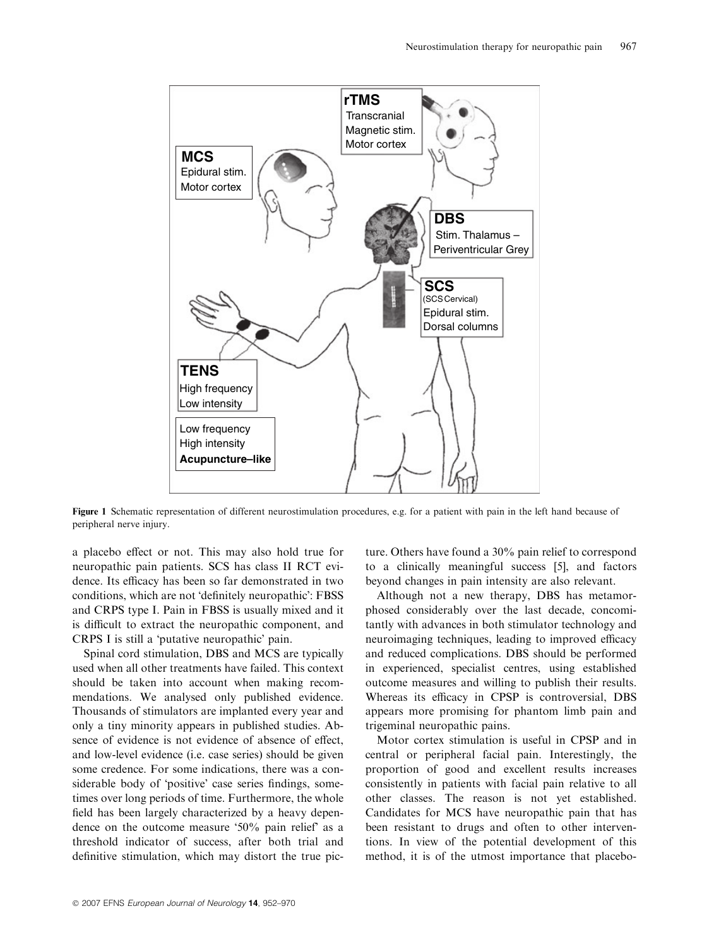

Figure 1 Schematic representation of different neurostimulation procedures, e.g. for a patient with pain in the left hand because of peripheral nerve injury.

a placebo effect or not. This may also hold true for neuropathic pain patients. SCS has class II RCT evidence. Its efficacy has been so far demonstrated in two conditions, which are not 'definitely neuropathic': FBSS and CRPS type I. Pain in FBSS is usually mixed and it is difficult to extract the neuropathic component, and CRPS I is still a 'putative neuropathic' pain.

Spinal cord stimulation, DBS and MCS are typically used when all other treatments have failed. This context should be taken into account when making recommendations. We analysed only published evidence. Thousands of stimulators are implanted every year and only a tiny minority appears in published studies. Absence of evidence is not evidence of absence of effect, and low-level evidence (i.e. case series) should be given some credence. For some indications, there was a considerable body of 'positive' case series findings, sometimes over long periods of time. Furthermore, the whole field has been largely characterized by a heavy dependence on the outcome measure '50% pain relief' as a threshold indicator of success, after both trial and definitive stimulation, which may distort the true picture. Others have found a 30% pain relief to correspond to a clinically meaningful success [5], and factors beyond changes in pain intensity are also relevant.

Although not a new therapy, DBS has metamorphosed considerably over the last decade, concomitantly with advances in both stimulator technology and neuroimaging techniques, leading to improved efficacy and reduced complications. DBS should be performed in experienced, specialist centres, using established outcome measures and willing to publish their results. Whereas its efficacy in CPSP is controversial, DBS appears more promising for phantom limb pain and trigeminal neuropathic pains.

Motor cortex stimulation is useful in CPSP and in central or peripheral facial pain. Interestingly, the proportion of good and excellent results increases consistently in patients with facial pain relative to all other classes. The reason is not yet established. Candidates for MCS have neuropathic pain that has been resistant to drugs and often to other interventions. In view of the potential development of this method, it is of the utmost importance that placebo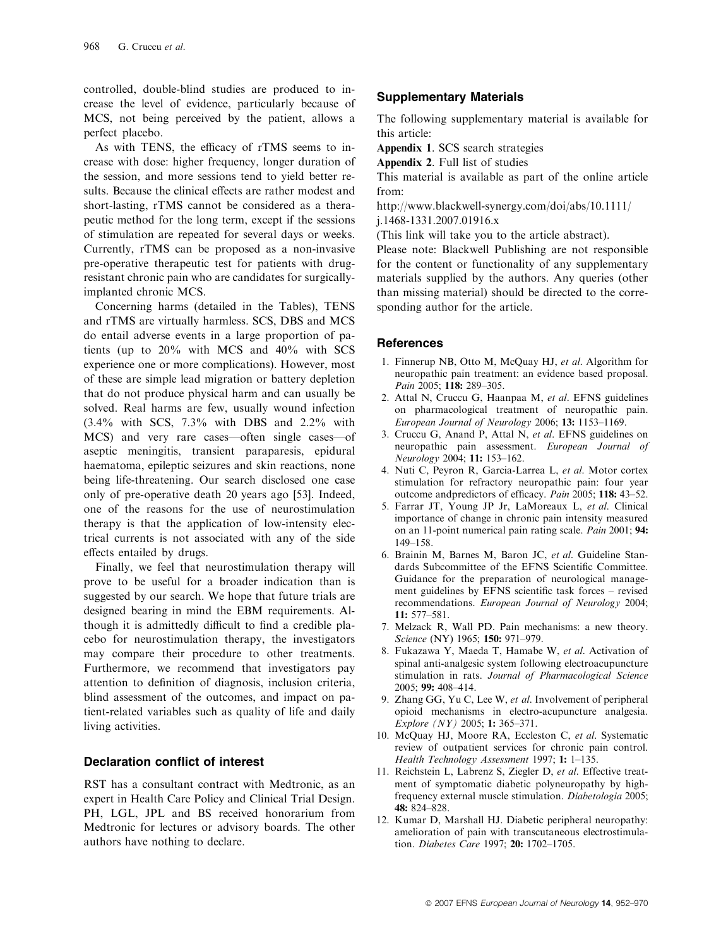controlled, double-blind studies are produced to increase the level of evidence, particularly because of MCS, not being perceived by the patient, allows a perfect placebo.

As with TENS, the efficacy of rTMS seems to increase with dose: higher frequency, longer duration of the session, and more sessions tend to yield better results. Because the clinical effects are rather modest and short-lasting, rTMS cannot be considered as a therapeutic method for the long term, except if the sessions of stimulation are repeated for several days or weeks. Currently, rTMS can be proposed as a non-invasive pre-operative therapeutic test for patients with drugresistant chronic pain who are candidates for surgicallyimplanted chronic MCS.

Concerning harms (detailed in the Tables), TENS and rTMS are virtually harmless. SCS, DBS and MCS do entail adverse events in a large proportion of patients (up to 20% with MCS and 40% with SCS experience one or more complications). However, most of these are simple lead migration or battery depletion that do not produce physical harm and can usually be solved. Real harms are few, usually wound infection (3.4% with SCS, 7.3% with DBS and 2.2% with MCS) and very rare cases—often single cases—of aseptic meningitis, transient paraparesis, epidural haematoma, epileptic seizures and skin reactions, none being life-threatening. Our search disclosed one case only of pre-operative death 20 years ago [53]. Indeed, one of the reasons for the use of neurostimulation therapy is that the application of low-intensity electrical currents is not associated with any of the side effects entailed by drugs.

Finally, we feel that neurostimulation therapy will prove to be useful for a broader indication than is suggested by our search. We hope that future trials are designed bearing in mind the EBM requirements. Although it is admittedly difficult to find a credible placebo for neurostimulation therapy, the investigators may compare their procedure to other treatments. Furthermore, we recommend that investigators pay attention to definition of diagnosis, inclusion criteria, blind assessment of the outcomes, and impact on patient-related variables such as quality of life and daily living activities.

## Declaration conflict of interest

RST has a consultant contract with Medtronic, as an expert in Health Care Policy and Clinical Trial Design. PH, LGL, JPL and BS received honorarium from Medtronic for lectures or advisory boards. The other authors have nothing to declare.

# Supplementary Materials

The following supplementary material is available for this article:

Appendix 1. SCS search strategies

Appendix 2. Full list of studies

This material is available as part of the online article from:

http://www.blackwell-synergy.com/doi/abs/10.1111/

j.1468-1331.2007.01916.x

(This link will take you to the article abstract).

Please note: Blackwell Publishing are not responsible for the content or functionality of any supplementary materials supplied by the authors. Any queries (other than missing material) should be directed to the corresponding author for the article.

## References

- 1. Finnerup NB, Otto M, McQuay HJ, et al. Algorithm for neuropathic pain treatment: an evidence based proposal. Pain 2005; 118: 289-305.
- 2. Attal N, Cruccu G, Haanpaa M, et al. EFNS guidelines on pharmacological treatment of neuropathic pain. European Journal of Neurology 2006; 13: 1153–1169.
- 3. Cruccu G, Anand P, Attal N, et al. EFNS guidelines on neuropathic pain assessment. European Journal of Neurology 2004; 11: 153–162.
- 4. Nuti C, Peyron R, Garcia-Larrea L, et al. Motor cortex stimulation for refractory neuropathic pain: four year outcome andpredictors of efficacy. Pain 2005; 118: 43–52.
- 5. Farrar JT, Young JP Jr, LaMoreaux L, et al. Clinical importance of change in chronic pain intensity measured on an 11-point numerical pain rating scale. Pain 2001; 94: 149–158.
- 6. Brainin M, Barnes M, Baron JC, et al. Guideline Standards Subcommittee of the EFNS Scientific Committee. Guidance for the preparation of neurological management guidelines by EFNS scientific task forces – revised recommendations. European Journal of Neurology 2004; 11: 577–581.
- 7. Melzack R, Wall PD. Pain mechanisms: a new theory. Science (NY) 1965; 150: 971-979.
- 8. Fukazawa Y, Maeda T, Hamabe W, et al. Activation of spinal anti-analgesic system following electroacupuncture stimulation in rats. Journal of Pharmacological Science 2005; 99: 408–414.
- 9. Zhang GG, Yu C, Lee W, et al. Involvement of peripheral opioid mechanisms in electro-acupuncture analgesia. Explore (NY) 2005; 1: 365–371.
- 10. McQuay HJ, Moore RA, Eccleston C, et al. Systematic review of outpatient services for chronic pain control. Health Technology Assessment 1997; 1: 1–135.
- 11. Reichstein L, Labrenz S, Ziegler D, et al. Effective treatment of symptomatic diabetic polyneuropathy by highfrequency external muscle stimulation. Diabetologia 2005; 48: 824–828.
- 12. Kumar D, Marshall HJ. Diabetic peripheral neuropathy: amelioration of pain with transcutaneous electrostimulation. Diabetes Care 1997; 20: 1702–1705.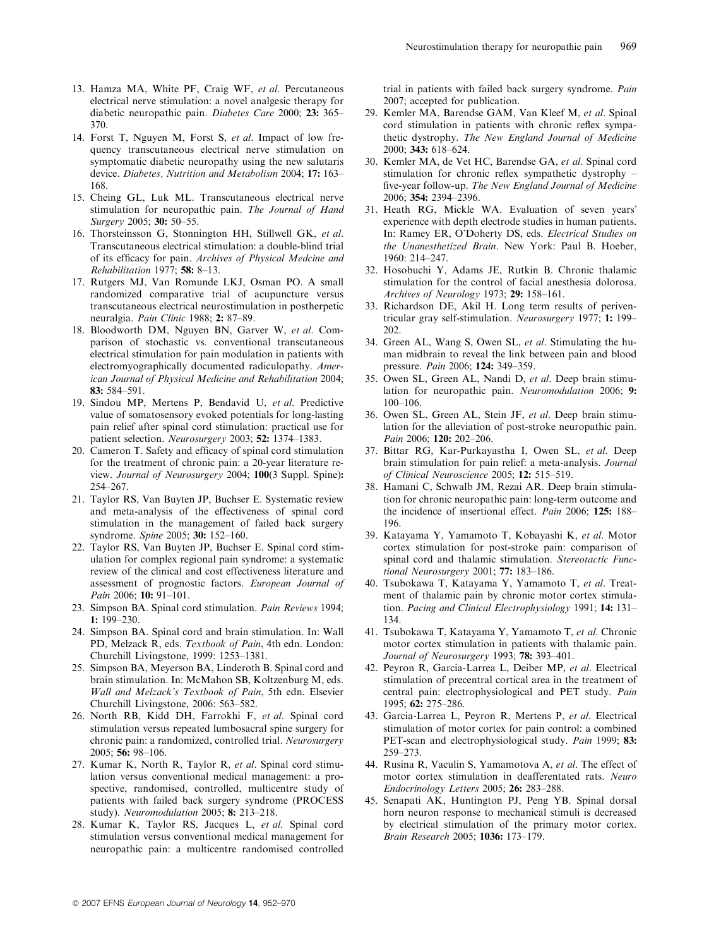- 13. Hamza MA, White PF, Craig WF, et al. Percutaneous electrical nerve stimulation: a novel analgesic therapy for diabetic neuropathic pain. Diabetes Care 2000; 23: 365– 370.
- 14. Forst T, Nguyen M, Forst S, et al. Impact of low frequency transcutaneous electrical nerve stimulation on symptomatic diabetic neuropathy using the new salutaris device. Diabetes, Nutrition and Metabolism 2004; 17: 163– 168.
- 15. Cheing GL, Luk ML. Transcutaneous electrical nerve stimulation for neuropathic pain. The Journal of Hand Surgery 2005; 30: 50–55.
- 16. Thorsteinsson G, Stonnington HH, Stillwell GK, et al. Transcutaneous electrical stimulation: a double-blind trial of its efficacy for pain. Archives of Physical Medcine and Rehabilitation 1977; 58: 8–13.
- 17. Rutgers MJ, Van Romunde LKJ, Osman PO. A small randomized comparative trial of acupuncture versus transcutaneous electrical neurostimulation in postherpetic neuralgia. Pain Clinic 1988; 2: 87–89.
- 18. Bloodworth DM, Nguyen BN, Garver W, et al. Comparison of stochastic vs. conventional transcutaneous electrical stimulation for pain modulation in patients with electromyographically documented radiculopathy. American Journal of Physical Medicine and Rehabilitation 2004; 83: 584–591.
- 19. Sindou MP, Mertens P, Bendavid U, et al. Predictive value of somatosensory evoked potentials for long-lasting pain relief after spinal cord stimulation: practical use for patient selection. Neurosurgery 2003; 52: 1374–1383.
- 20. Cameron T. Safety and efficacy of spinal cord stimulation for the treatment of chronic pain: a 20-year literature review. Journal of Neurosurgery 2004; 100(3 Suppl. Spine): 254–267.
- 21. Taylor RS, Van Buyten JP, Buchser E. Systematic review and meta-analysis of the effectiveness of spinal cord stimulation in the management of failed back surgery syndrome. Spine 2005; 30: 152–160.
- 22. Taylor RS, Van Buyten JP, Buchser E. Spinal cord stimulation for complex regional pain syndrome: a systematic review of the clinical and cost effectiveness literature and assessment of prognostic factors. European Journal of Pain 2006; 10: 91-101.
- 23. Simpson BA. Spinal cord stimulation. Pain Reviews 1994; 1: 199–230.
- 24. Simpson BA. Spinal cord and brain stimulation. In: Wall PD, Melzack R, eds. Textbook of Pain, 4th edn. London: Churchill Livingstone, 1999: 1253–1381.
- 25. Simpson BA, Meyerson BA, Linderoth B. Spinal cord and brain stimulation. In: McMahon SB, Koltzenburg M, eds. Wall and Melzack's Textbook of Pain, 5th edn. Elsevier Churchill Livingstone, 2006: 563–582.
- 26. North RB, Kidd DH, Farrokhi F, et al. Spinal cord stimulation versus repeated lumbosacral spine surgery for chronic pain: a randomized, controlled trial. Neurosurgery 2005; 56: 98–106.
- 27. Kumar K, North R, Taylor R, et al. Spinal cord stimulation versus conventional medical management: a prospective, randomised, controlled, multicentre study of patients with failed back surgery syndrome (PROCESS study). Neuromodulation 2005; 8: 213-218.
- 28. Kumar K, Taylor RS, Jacques L, et al. Spinal cord stimulation versus conventional medical management for neuropathic pain: a multicentre randomised controlled

trial in patients with failed back surgery syndrome. Pain 2007; accepted for publication.

- 29. Kemler MA, Barendse GAM, Van Kleef M, et al. Spinal cord stimulation in patients with chronic reflex sympathetic dystrophy. The New England Journal of Medicine 2000; 343: 618–624.
- 30. Kemler MA, de Vet HC, Barendse GA, et al. Spinal cord stimulation for chronic reflex sympathetic dystrophy – five-year follow-up. The New England Journal of Medicine 2006; 354: 2394–2396.
- 31. Heath RG, Mickle WA. Evaluation of seven years experience with depth electrode studies in human patients. In: Ramey ER, O'Doherty DS, eds. Electrical Studies on the Unanesthetized Brain. New York: Paul B. Hoeber, 1960: 214–247.
- 32. Hosobuchi Y, Adams JE, Rutkin B. Chronic thalamic stimulation for the control of facial anesthesia dolorosa. Archives of Neurology 1973; 29: 158–161.
- 33. Richardson DE, Akil H. Long term results of periventricular gray self-stimulation. Neurosurgery 1977; 1: 199– 202.
- 34. Green AL, Wang S, Owen SL, et al. Stimulating the human midbrain to reveal the link between pain and blood pressure. Pain 2006; 124: 349–359.
- 35. Owen SL, Green AL, Nandi D, et al. Deep brain stimulation for neuropathic pain. Neuromodulation 2006; 9: 100–106.
- 36. Owen SL, Green AL, Stein JF, et al. Deep brain stimulation for the alleviation of post-stroke neuropathic pain. Pain 2006: **120:** 202-206.
- 37. Bittar RG, Kar-Purkayastha I, Owen SL, et al. Deep brain stimulation for pain relief: a meta-analysis. Journal of Clinical Neuroscience 2005; 12: 515–519.
- 38. Hamani C, Schwalb JM, Rezai AR. Deep brain stimulation for chronic neuropathic pain: long-term outcome and the incidence of insertional effect. Pain 2006; 125: 188– 196.
- 39. Katayama Y, Yamamoto T, Kobayashi K, et al. Motor cortex stimulation for post-stroke pain: comparison of spinal cord and thalamic stimulation. Stereotactic Functional Neurosurgery 2001; 77: 183–186.
- 40. Tsubokawa T, Katayama Y, Yamamoto T, et al. Treatment of thalamic pain by chronic motor cortex stimulation. Pacing and Clinical Electrophysiology 1991; 14: 131– 134.
- 41. Tsubokawa T, Katayama Y, Yamamoto T, et al. Chronic motor cortex stimulation in patients with thalamic pain. Journal of Neurosurgery 1993; 78: 393–401.
- 42. Peyron R, Garcia-Larrea L, Deiber MP, et al. Electrical stimulation of precentral cortical area in the treatment of central pain: electrophysiological and PET study. Pain 1995; 62: 275–286.
- 43. Garcia-Larrea L, Peyron R, Mertens P, et al. Electrical stimulation of motor cortex for pain control: a combined PET-scan and electrophysiological study. Pain 1999; 83: 259–273.
- 44. Rusina R, Vaculin S, Yamamotova A, et al. The effect of motor cortex stimulation in deafferentated rats. Neuro Endocrinology Letters 2005; 26: 283–288.
- 45. Senapati AK, Huntington PJ, Peng YB. Spinal dorsal horn neuron response to mechanical stimuli is decreased by electrical stimulation of the primary motor cortex. Brain Research 2005; 1036: 173–179.